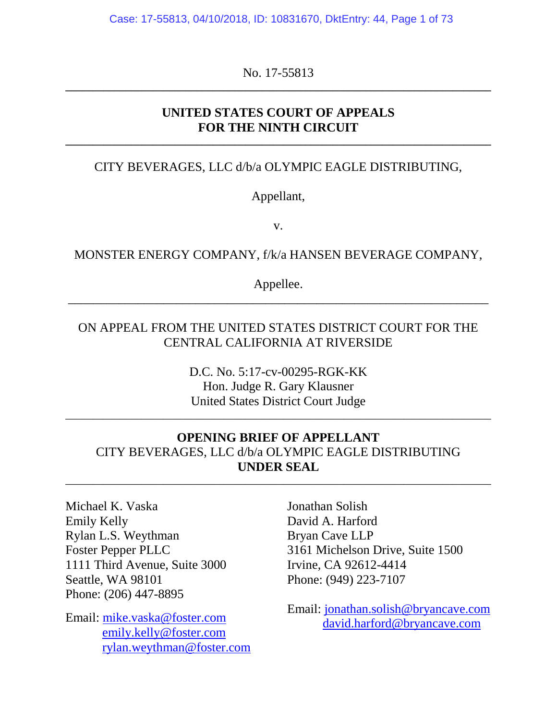Case: 17-55813, 04/10/2018, ID: 10831670, DktEntry: 44, Page 1 of 73

No. 17-55813 **\_\_\_\_\_\_\_\_\_\_\_\_\_\_\_\_\_\_\_\_\_\_\_\_\_\_\_\_\_\_\_\_\_\_\_\_\_\_\_\_\_\_\_\_\_\_\_\_\_\_\_\_\_\_\_\_\_\_\_\_\_\_\_\_\_\_\_\_\_\_\_\_\_\_\_\_\_\_**

### **UNITED STATES COURT OF APPEALS FOR THE NINTH CIRCUIT**

**\_\_\_\_\_\_\_\_\_\_\_\_\_\_\_\_\_\_\_\_\_\_\_\_\_\_\_\_\_\_\_\_\_\_\_\_\_\_\_\_\_\_\_\_\_\_\_\_\_\_\_\_\_\_\_\_\_\_\_\_\_\_\_\_\_\_\_\_\_\_\_\_\_\_\_\_\_\_**

## CITY BEVERAGES, LLC d/b/a OLYMPIC EAGLE DISTRIBUTING,

Appellant,

v.

#### MONSTER ENERGY COMPANY, f/k/a HANSEN BEVERAGE COMPANY,

Appellee. \_\_\_\_\_\_\_\_\_\_\_\_\_\_\_\_\_\_\_\_\_\_\_\_\_\_\_\_\_\_\_\_\_\_\_\_\_\_\_\_\_\_\_\_\_\_\_\_\_\_\_\_\_\_\_\_\_\_\_\_\_\_\_\_\_\_

### ON APPEAL FROM THE UNITED STATES DISTRICT COURT FOR THE CENTRAL CALIFORNIA AT RIVERSIDE

D.C. No. 5:17-cv-00295-RGK-KK Hon. Judge R. Gary Klausner United States District Court Judge

\_\_\_\_\_\_\_\_\_\_\_\_\_\_\_\_\_\_\_\_\_\_\_\_\_\_\_\_\_\_\_\_\_\_\_\_\_\_\_\_\_\_\_\_\_\_\_\_\_\_\_\_\_\_\_\_\_\_\_\_\_\_\_\_\_\_\_\_\_\_\_\_\_\_\_\_\_\_

## **OPENING BRIEF OF APPELLANT** CITY BEVERAGES, LLC d/b/a OLYMPIC EAGLE DISTRIBUTING **UNDER SEAL**

\_\_\_\_\_\_\_\_\_\_\_\_\_\_\_\_\_\_\_\_\_\_\_\_\_\_\_\_\_\_\_\_\_\_\_\_\_\_\_\_\_\_\_\_\_\_\_\_\_\_\_\_\_\_\_\_\_\_\_\_\_\_\_\_\_\_\_\_\_\_\_\_\_\_\_\_\_\_

Michael K. Vaska Emily Kelly Rylan L.S. Weythman Foster Pepper PLLC 1111 Third Avenue, Suite 3000 Seattle, WA 98101 Phone: (206) 447-8895

Email: mike.vaska@foster.com emily.kelly@foster.com rylan.weythman@foster.com

Jonathan Solish David A. Harford Bryan Cave LLP 3161 Michelson Drive, Suite 1500 Irvine, CA 92612-4414 Phone: (949) 223-7107

Email: jonathan.solish@bryancave.com david.harford@bryancave.com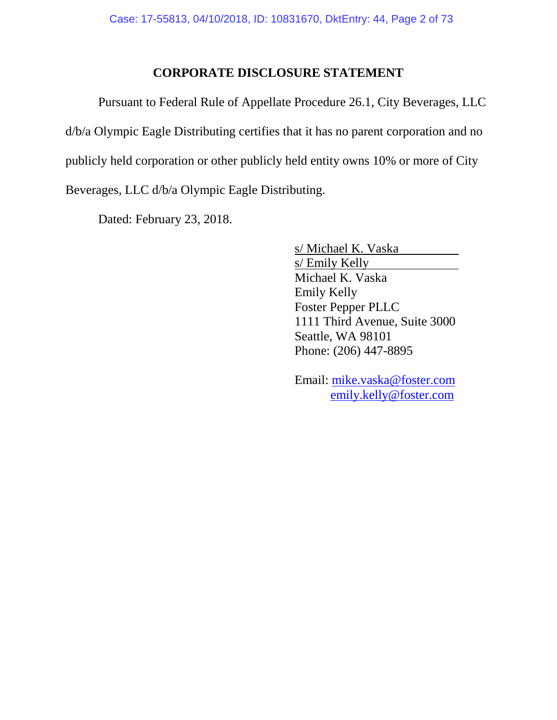### **CORPORATE DISCLOSURE STATEMENT**

Pursuant to Federal Rule of Appellate Procedure 26.1, City Beverages, LLC d/b/a Olympic Eagle Distributing certifies that it has no parent corporation and no publicly held corporation or other publicly held entity owns 10% or more of City Beverages, LLC d/b/a Olympic Eagle Distributing.

Dated: February 23, 2018.

s/ Michael K. Vaska s/ Emily Kelly Michael K. Vaska Emily Kelly Foster Pepper PLLC 1111 Third Avenue, Suite 3000 Seattle, WA 98101 Phone: (206) 447-8895

Email: mike.vaska@foster.com emily.kelly@foster.com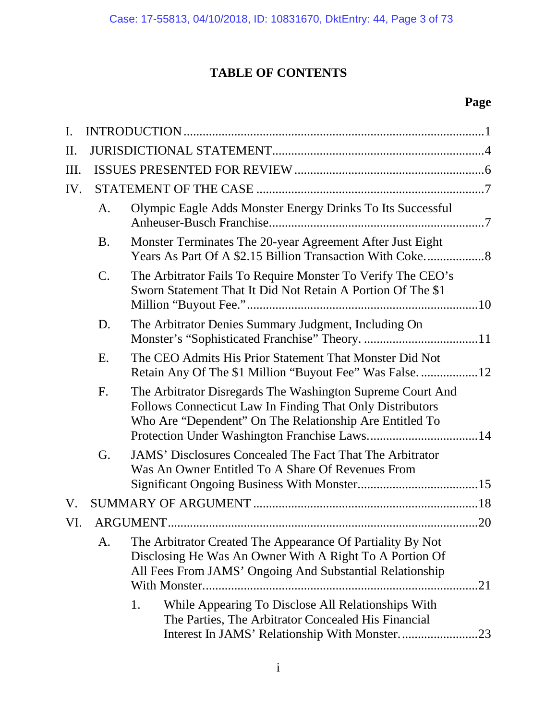# **TABLE OF CONTENTS**

# **Page**

| $\mathbf{I}$ . |           |                                                                                                                                                                                          |
|----------------|-----------|------------------------------------------------------------------------------------------------------------------------------------------------------------------------------------------|
| II.            |           |                                                                                                                                                                                          |
| Ш.             |           |                                                                                                                                                                                          |
| IV.            |           |                                                                                                                                                                                          |
|                | A.        | Olympic Eagle Adds Monster Energy Drinks To Its Successful                                                                                                                               |
|                | <b>B.</b> | Monster Terminates The 20-year Agreement After Just Eight                                                                                                                                |
|                | C.        | The Arbitrator Fails To Require Monster To Verify The CEO's<br>Sworn Statement That It Did Not Retain A Portion Of The \$1                                                               |
|                | D.        | The Arbitrator Denies Summary Judgment, Including On                                                                                                                                     |
|                | E.        | The CEO Admits His Prior Statement That Monster Did Not                                                                                                                                  |
|                | F.        | The Arbitrator Disregards The Washington Supreme Court And<br>Follows Connecticut Law In Finding That Only Distributors<br>Who Are "Dependent" On The Relationship Are Entitled To       |
|                | G.        | <b>JAMS'</b> Disclosures Concealed The Fact That The Arbitrator<br>Was An Owner Entitled To A Share Of Revenues From                                                                     |
| V.             |           |                                                                                                                                                                                          |
| VI             |           | ARGUMENT<br>20                                                                                                                                                                           |
|                | A.        | The Arbitrator Created The Appearance Of Partiality By Not<br>Disclosing He Was An Owner With A Right To A Portion Of<br>All Fees From JAMS' Ongoing And Substantial Relationship<br>.21 |
|                |           | While Appearing To Disclose All Relationships With<br>1.<br>The Parties, The Arbitrator Concealed His Financial                                                                          |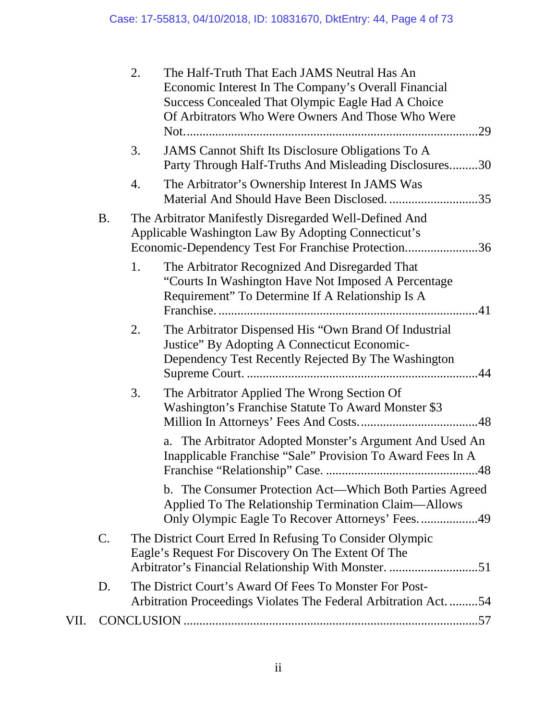|      |    | 2. | The Half-Truth That Each JAMS Neutral Has An<br>Economic Interest In The Company's Overall Financial<br>Success Concealed That Olympic Eagle Had A Choice<br>Of Arbitrators Who Were Owners And Those Who Were<br>.29 |
|------|----|----|-----------------------------------------------------------------------------------------------------------------------------------------------------------------------------------------------------------------------|
|      |    | 3. | JAMS Cannot Shift Its Disclosure Obligations To A<br>Party Through Half-Truths And Misleading Disclosures30                                                                                                           |
|      |    | 4. | The Arbitrator's Ownership Interest In JAMS Was                                                                                                                                                                       |
|      | B. |    | The Arbitrator Manifestly Disregarded Well-Defined And<br>Applicable Washington Law By Adopting Connecticut's<br>Economic-Dependency Test For Franchise Protection36                                                  |
|      |    | 1. | The Arbitrator Recognized And Disregarded That<br>"Courts In Washington Have Not Imposed A Percentage<br>Requirement" To Determine If A Relationship Is A                                                             |
|      |    | 2. | The Arbitrator Dispensed His "Own Brand Of Industrial<br>Justice" By Adopting A Connecticut Economic-<br>Dependency Test Recently Rejected By The Washington                                                          |
|      |    | 3. | The Arbitrator Applied The Wrong Section Of<br>Washington's Franchise Statute To Award Monster \$3                                                                                                                    |
|      |    |    | a. The Arbitrator Adopted Monster's Argument And Used An<br>Inapplicable Franchise "Sale" Provision To Award Fees In A                                                                                                |
|      |    |    | b. The Consumer Protection Act-Which Both Parties Agreed<br>Applied To The Relationship Termination Claim—Allows<br>Only Olympic Eagle To Recover Attorneys' Fees49                                                   |
|      | C. |    | The District Court Erred In Refusing To Consider Olympic<br>Eagle's Request For Discovery On The Extent Of The<br>Arbitrator's Financial Relationship With Monster. 51                                                |
|      | D. |    | The District Court's Award Of Fees To Monster For Post-<br>Arbitration Proceedings Violates The Federal Arbitration Act. 54                                                                                           |
| VII. |    |    |                                                                                                                                                                                                                       |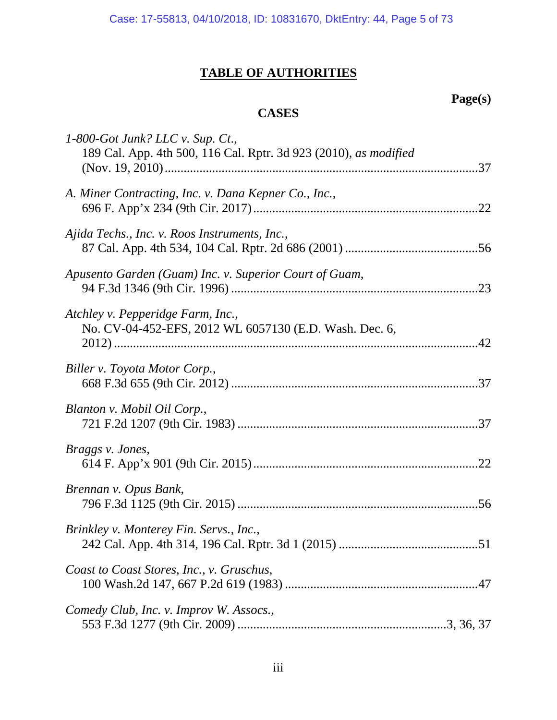# **TABLE OF AUTHORITIES**

# **Page(s)**

# **CASES**

| $1-800-Got$ Junk? LLC v. Sup. Ct.,<br>189 Cal. App. 4th 500, 116 Cal. Rptr. 3d 923 (2010), as modified |  |
|--------------------------------------------------------------------------------------------------------|--|
| A. Miner Contracting, Inc. v. Dana Kepner Co., Inc.,<br>.22                                            |  |
| Ajida Techs., Inc. v. Roos Instruments, Inc.,                                                          |  |
| Apusento Garden (Guam) Inc. v. Superior Court of Guam,                                                 |  |
| Atchley v. Pepperidge Farm, Inc.,<br>No. CV-04-452-EFS, 2012 WL 6057130 (E.D. Wash. Dec. 6,            |  |
| Biller v. Toyota Motor Corp.,                                                                          |  |
| Blanton v. Mobil Oil Corp.,                                                                            |  |
| Braggs v. Jones,                                                                                       |  |
| Brennan v. Opus Bank,                                                                                  |  |
| Brinkley v. Monterey Fin. Servs., Inc.,                                                                |  |
| Coast to Coast Stores, Inc., v. Gruschus,                                                              |  |
| Comedy Club, Inc. v. Improv W. Assocs.,                                                                |  |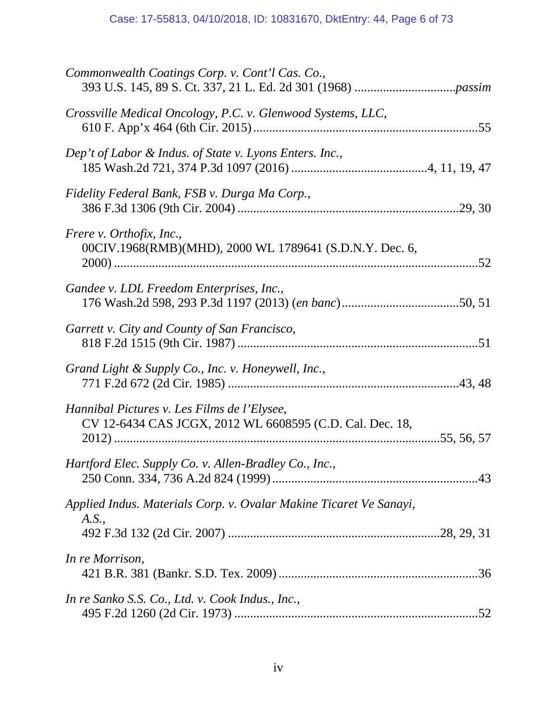| Commonwealth Coatings Corp. v. Cont'l Cas. Co.,                                                         |
|---------------------------------------------------------------------------------------------------------|
| Crossville Medical Oncology, P.C. v. Glenwood Systems, LLC,                                             |
| Dep't of Labor & Indus. of State v. Lyons Enters. Inc.,                                                 |
| Fidelity Federal Bank, FSB v. Durga Ma Corp.,                                                           |
| Frere v. Orthofix, Inc.,<br>00CIV.1968(RMB)(MHD), 2000 WL 1789641 (S.D.N.Y. Dec. 6,                     |
| Gandee v. LDL Freedom Enterprises, Inc.,                                                                |
| Garrett v. City and County of San Francisco,                                                            |
| Grand Light & Supply Co., Inc. v. Honeywell, Inc.,                                                      |
| Hannibal Pictures v. Les Films de l'Elysee,<br>CV 12-6434 CAS JCGX, 2012 WL 6608595 (C.D. Cal. Dec. 18, |
| <i>Hartford Elec. Supply Co. v. Allen-Bradley Co., Inc.,</i>                                            |
| Applied Indus. Materials Corp. v. Ovalar Makine Ticaret Ve Sanayi,<br>A.S.,                             |
| In re Morrison,                                                                                         |
| In re Sanko S.S. Co., Ltd. v. Cook Indus., Inc.,                                                        |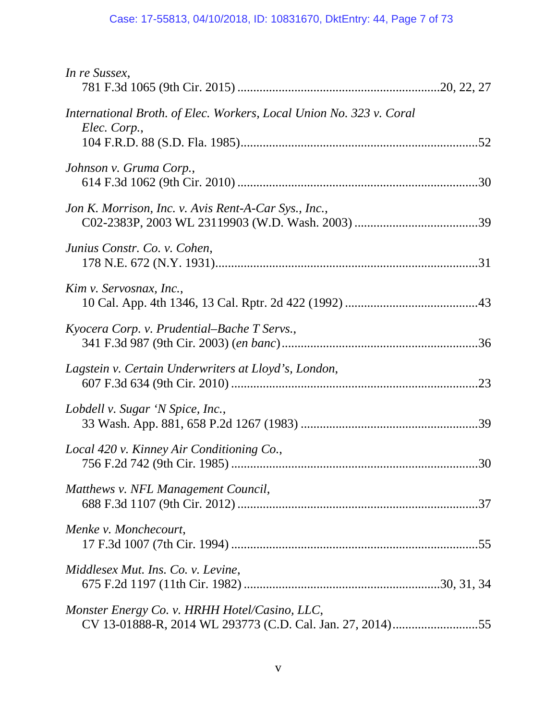| In re Sussex,                                                                       |
|-------------------------------------------------------------------------------------|
| International Broth. of Elec. Workers, Local Union No. 323 v. Coral<br>Elec. Corp., |
| Johnson v. Gruma Corp.,                                                             |
| Jon K. Morrison, Inc. v. Avis Rent-A-Car Sys., Inc.,                                |
| Junius Constr. Co. v. Cohen,                                                        |
| Kim v. Servosnax, Inc.,                                                             |
| Kyocera Corp. v. Prudential–Bache T Servs.,                                         |
| Lagstein v. Certain Underwriters at Lloyd's, London,                                |
| Lobdell v. Sugar 'N Spice, Inc.,                                                    |
| Local 420 v. Kinney Air Conditioning Co.,                                           |
| Matthews v. NFL Management Council,                                                 |
| Menke v. Monchecourt,                                                               |
| Middlesex Mut. Ins. Co. v. Levine,                                                  |
| Monster Energy Co. v. HRHH Hotel/Casino, LLC,                                       |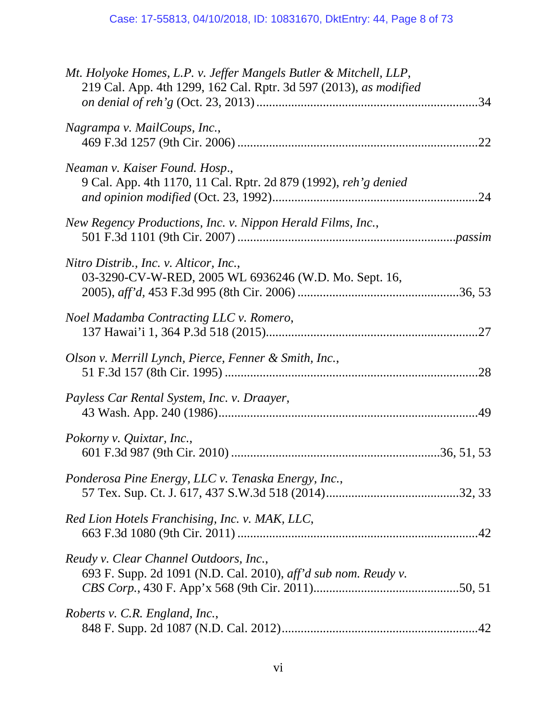| Mt. Holyoke Homes, L.P. v. Jeffer Mangels Butler & Mitchell, LLP,<br>219 Cal. App. 4th 1299, 162 Cal. Rptr. 3d 597 (2013), as modified |  |
|----------------------------------------------------------------------------------------------------------------------------------------|--|
| Nagrampa v. MailCoups, Inc.,                                                                                                           |  |
| Neaman v. Kaiser Found. Hosp.,<br>9 Cal. App. 4th 1170, 11 Cal. Rptr. 2d 879 (1992), reh'g denied                                      |  |
| New Regency Productions, Inc. v. Nippon Herald Films, Inc.,                                                                            |  |
| Nitro Distrib., Inc. v. Alticor, Inc.,<br>03-3290-CV-W-RED, 2005 WL 6936246 (W.D. Mo. Sept. 16,                                        |  |
| Noel Madamba Contracting LLC v. Romero,                                                                                                |  |
| Olson v. Merrill Lynch, Pierce, Fenner & Smith, Inc.,                                                                                  |  |
| Payless Car Rental System, Inc. v. Draayer,                                                                                            |  |
| Pokorny v. Quixtar, Inc.,                                                                                                              |  |
| Ponderosa Pine Energy, LLC v. Tenaska Energy, Inc.,                                                                                    |  |
| Red Lion Hotels Franchising, Inc. v. MAK, LLC,                                                                                         |  |
| Reudy v. Clear Channel Outdoors, Inc.,<br>693 F. Supp. 2d 1091 (N.D. Cal. 2010), aff'd sub nom. Reudy v.                               |  |
| Roberts v. C.R. England, Inc.,                                                                                                         |  |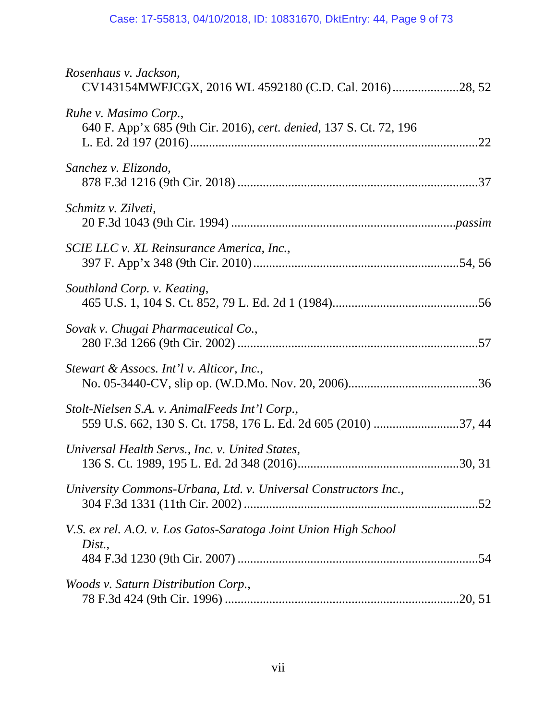| Rosenhaus v. Jackson,<br>CV143154MWFJCGX, 2016 WL 4592180 (C.D. Cal. 2016)28, 52            |
|---------------------------------------------------------------------------------------------|
| Ruhe v. Masimo Corp.,<br>640 F. App'x 685 (9th Cir. 2016), cert. denied, 137 S. Ct. 72, 196 |
| Sanchez v. Elizondo,                                                                        |
| Schmitz v. Zilveti,                                                                         |
| SCIE LLC v. XL Reinsurance America, Inc.,                                                   |
| Southland Corp. v. Keating,                                                                 |
| Sovak v. Chugai Pharmaceutical Co.,                                                         |
| Stewart & Assocs. Int'l v. Alticor, Inc.,                                                   |
| Stolt-Nielsen S.A. v. AnimalFeeds Int'l Corp.,                                              |
| Universal Health Servs., Inc. v. United States,                                             |
| University Commons-Urbana, Ltd. v. Universal Constructors Inc.,                             |
| V.S. ex rel. A.O. v. Los Gatos-Saratoga Joint Union High School<br>Dist.,                   |
| Woods v. Saturn Distribution Corp.,                                                         |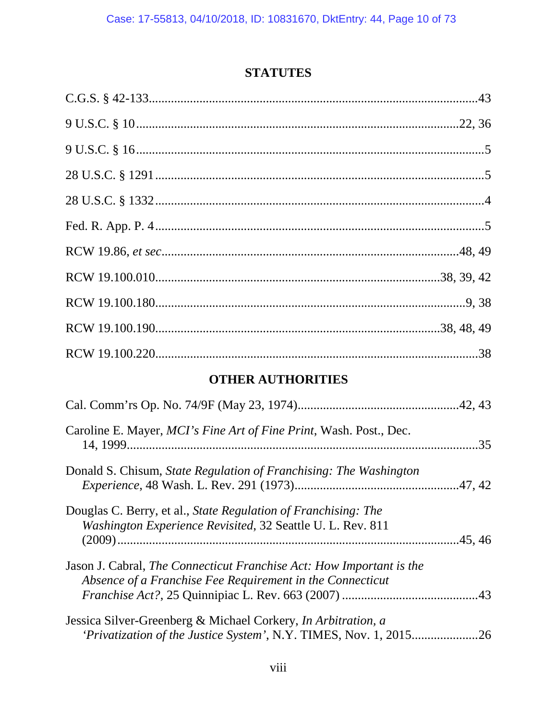## **STATUTES**

# **OTHER AUTHORITIES**

| Caroline E. Mayer, <i>MCI's Fine Art of Fine Print</i> , Wash. Post., Dec.                                                               | .35 |
|------------------------------------------------------------------------------------------------------------------------------------------|-----|
| Donald S. Chisum, State Regulation of Franchising: The Washington                                                                        |     |
| Douglas C. Berry, et al., State Regulation of Franchising: The<br>Washington Experience Revisited, 32 Seattle U. L. Rev. 811             |     |
| Jason J. Cabral, <i>The Connecticut Franchise Act: How Important is the</i><br>Absence of a Franchise Fee Requirement in the Connecticut |     |
| Jessica Silver-Greenberg & Michael Corkery, In Arbitration, a<br>'Privatization of the Justice System', N.Y. TIMES, Nov. 1, 2015         | .26 |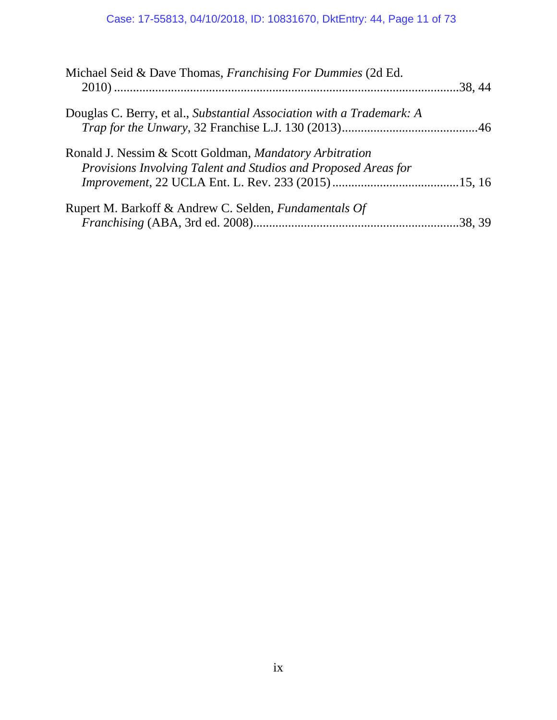| Michael Seid & Dave Thomas, Franchising For Dummies (2d Ed.                                                               |  |
|---------------------------------------------------------------------------------------------------------------------------|--|
| Douglas C. Berry, et al., Substantial Association with a Trademark: A                                                     |  |
| Ronald J. Nessim & Scott Goldman, Mandatory Arbitration<br>Provisions Involving Talent and Studios and Proposed Areas for |  |
| Rupert M. Barkoff & Andrew C. Selden, <i>Fundamentals Of</i>                                                              |  |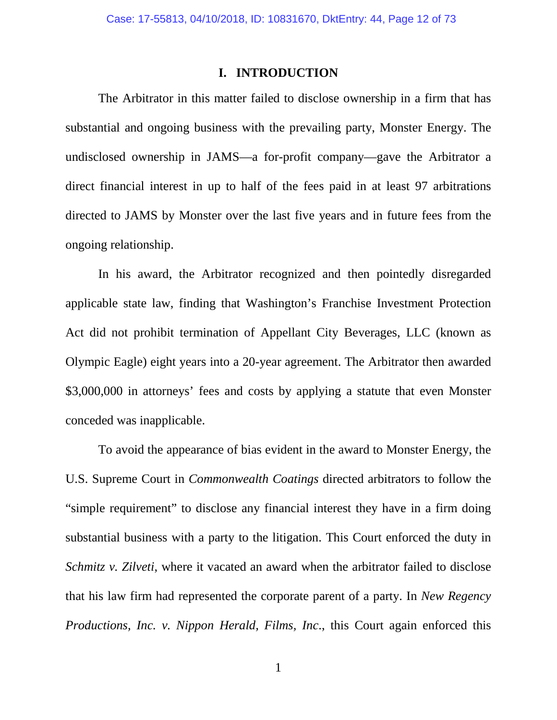#### **I. INTRODUCTION**

The Arbitrator in this matter failed to disclose ownership in a firm that has substantial and ongoing business with the prevailing party, Monster Energy. The undisclosed ownership in JAMS—a for-profit company—gave the Arbitrator a direct financial interest in up to half of the fees paid in at least 97 arbitrations directed to JAMS by Monster over the last five years and in future fees from the ongoing relationship.

In his award, the Arbitrator recognized and then pointedly disregarded applicable state law, finding that Washington's Franchise Investment Protection Act did not prohibit termination of Appellant City Beverages, LLC (known as Olympic Eagle) eight years into a 20-year agreement. The Arbitrator then awarded \$3,000,000 in attorneys' fees and costs by applying a statute that even Monster conceded was inapplicable.

To avoid the appearance of bias evident in the award to Monster Energy, the U.S. Supreme Court in *Commonwealth Coatings* directed arbitrators to follow the "simple requirement" to disclose any financial interest they have in a firm doing substantial business with a party to the litigation. This Court enforced the duty in *Schmitz v. Zilveti*, where it vacated an award when the arbitrator failed to disclose that his law firm had represented the corporate parent of a party. In *New Regency Productions, Inc. v. Nippon Herald, Films, Inc*., this Court again enforced this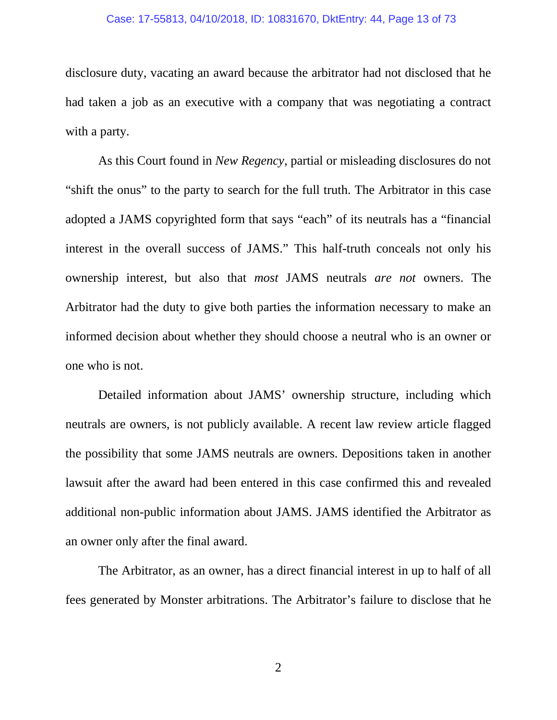#### Case: 17-55813, 04/10/2018, ID: 10831670, DktEntry: 44, Page 13 of 73

disclosure duty, vacating an award because the arbitrator had not disclosed that he had taken a job as an executive with a company that was negotiating a contract with a party.

As this Court found in *New Regency*, partial or misleading disclosures do not "shift the onus" to the party to search for the full truth. The Arbitrator in this case adopted a JAMS copyrighted form that says "each" of its neutrals has a "financial interest in the overall success of JAMS." This half-truth conceals not only his ownership interest, but also that *most* JAMS neutrals *are not* owners. The Arbitrator had the duty to give both parties the information necessary to make an informed decision about whether they should choose a neutral who is an owner or one who is not.

Detailed information about JAMS' ownership structure, including which neutrals are owners, is not publicly available. A recent law review article flagged the possibility that some JAMS neutrals are owners. Depositions taken in another lawsuit after the award had been entered in this case confirmed this and revealed additional non-public information about JAMS. JAMS identified the Arbitrator as an owner only after the final award.

The Arbitrator, as an owner, has a direct financial interest in up to half of all fees generated by Monster arbitrations. The Arbitrator's failure to disclose that he

2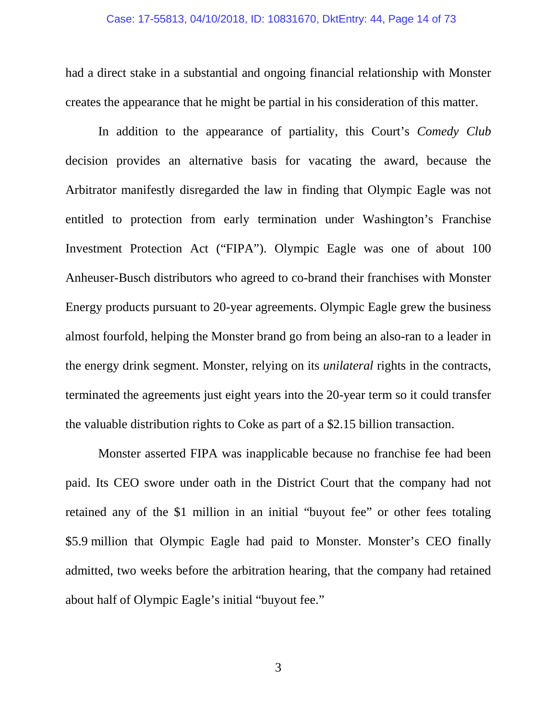had a direct stake in a substantial and ongoing financial relationship with Monster creates the appearance that he might be partial in his consideration of this matter.

In addition to the appearance of partiality, this Court's *Comedy Club* decision provides an alternative basis for vacating the award, because the Arbitrator manifestly disregarded the law in finding that Olympic Eagle was not entitled to protection from early termination under Washington's Franchise Investment Protection Act ("FIPA"). Olympic Eagle was one of about 100 Anheuser-Busch distributors who agreed to co-brand their franchises with Monster Energy products pursuant to 20-year agreements. Olympic Eagle grew the business almost fourfold, helping the Monster brand go from being an also-ran to a leader in the energy drink segment. Monster, relying on its *unilateral* rights in the contracts, terminated the agreements just eight years into the 20-year term so it could transfer the valuable distribution rights to Coke as part of a \$2.15 billion transaction.

Monster asserted FIPA was inapplicable because no franchise fee had been paid. Its CEO swore under oath in the District Court that the company had not retained any of the \$1 million in an initial "buyout fee" or other fees totaling \$5.9 million that Olympic Eagle had paid to Monster. Monster's CEO finally admitted, two weeks before the arbitration hearing, that the company had retained about half of Olympic Eagle's initial "buyout fee."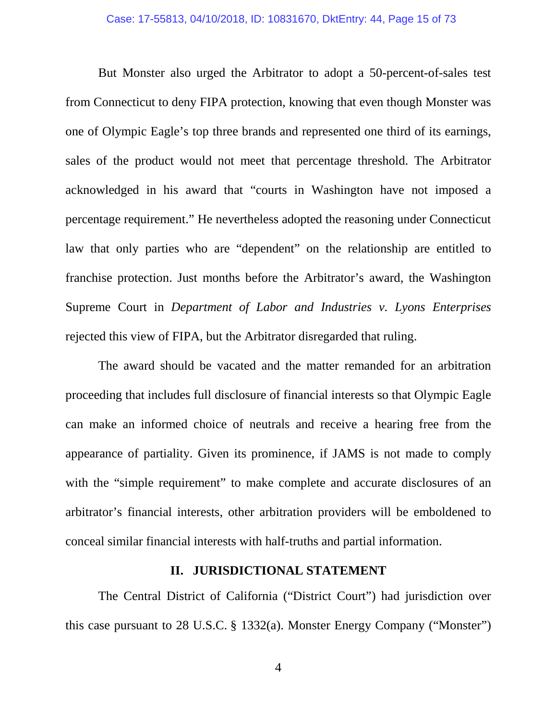But Monster also urged the Arbitrator to adopt a 50-percent-of-sales test from Connecticut to deny FIPA protection, knowing that even though Monster was one of Olympic Eagle's top three brands and represented one third of its earnings, sales of the product would not meet that percentage threshold. The Arbitrator acknowledged in his award that "courts in Washington have not imposed a percentage requirement." He nevertheless adopted the reasoning under Connecticut law that only parties who are "dependent" on the relationship are entitled to franchise protection. Just months before the Arbitrator's award, the Washington Supreme Court in *Department of Labor and Industries v. Lyons Enterprises* rejected this view of FIPA, but the Arbitrator disregarded that ruling.

The award should be vacated and the matter remanded for an arbitration proceeding that includes full disclosure of financial interests so that Olympic Eagle can make an informed choice of neutrals and receive a hearing free from the appearance of partiality. Given its prominence, if JAMS is not made to comply with the "simple requirement" to make complete and accurate disclosures of an arbitrator's financial interests, other arbitration providers will be emboldened to conceal similar financial interests with half-truths and partial information.

#### **II. JURISDICTIONAL STATEMENT**

The Central District of California ("District Court") had jurisdiction over this case pursuant to 28 U.S.C. § 1332(a). Monster Energy Company ("Monster")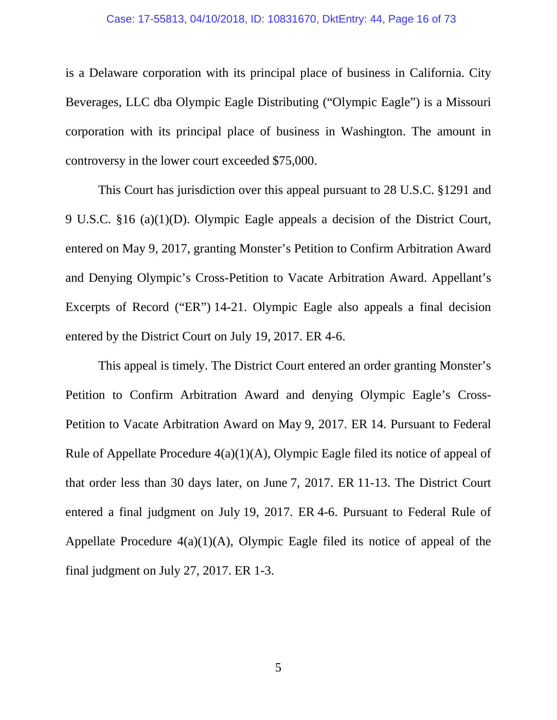#### Case: 17-55813, 04/10/2018, ID: 10831670, DktEntry: 44, Page 16 of 73

is a Delaware corporation with its principal place of business in California. City Beverages, LLC dba Olympic Eagle Distributing ("Olympic Eagle") is a Missouri corporation with its principal place of business in Washington. The amount in controversy in the lower court exceeded \$75,000.

This Court has jurisdiction over this appeal pursuant to 28 U.S.C. §1291 and 9 U.S.C. §16 (a)(1)(D). Olympic Eagle appeals a decision of the District Court, entered on May 9, 2017, granting Monster's Petition to Confirm Arbitration Award and Denying Olympic's Cross-Petition to Vacate Arbitration Award. Appellant's Excerpts of Record ("ER") 14-21. Olympic Eagle also appeals a final decision entered by the District Court on July 19, 2017. ER 4-6.

This appeal is timely. The District Court entered an order granting Monster's Petition to Confirm Arbitration Award and denying Olympic Eagle's Cross-Petition to Vacate Arbitration Award on May 9, 2017. ER 14. Pursuant to Federal Rule of Appellate Procedure 4(a)(1)(A), Olympic Eagle filed its notice of appeal of that order less than 30 days later, on June 7, 2017. ER 11-13. The District Court entered a final judgment on July 19, 2017. ER 4-6. Pursuant to Federal Rule of Appellate Procedure  $4(a)(1)(A)$ , Olympic Eagle filed its notice of appeal of the final judgment on July 27, 2017. ER 1-3.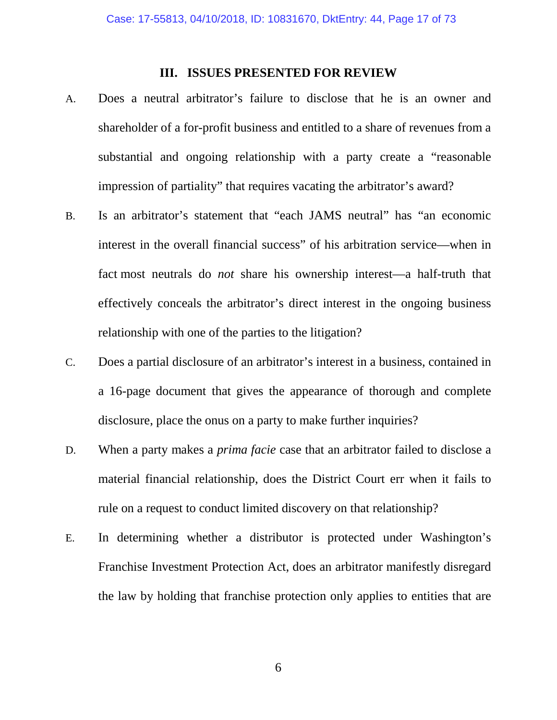### **III. ISSUES PRESENTED FOR REVIEW**

- A. Does a neutral arbitrator's failure to disclose that he is an owner and shareholder of a for-profit business and entitled to a share of revenues from a substantial and ongoing relationship with a party create a "reasonable impression of partiality" that requires vacating the arbitrator's award?
- B. Is an arbitrator's statement that "each JAMS neutral" has "an economic interest in the overall financial success" of his arbitration service—when in fact most neutrals do *not* share his ownership interest—a half-truth that effectively conceals the arbitrator's direct interest in the ongoing business relationship with one of the parties to the litigation?
- C. Does a partial disclosure of an arbitrator's interest in a business, contained in a 16-page document that gives the appearance of thorough and complete disclosure, place the onus on a party to make further inquiries?
- D. When a party makes a *prima facie* case that an arbitrator failed to disclose a material financial relationship, does the District Court err when it fails to rule on a request to conduct limited discovery on that relationship?
- E. In determining whether a distributor is protected under Washington's Franchise Investment Protection Act, does an arbitrator manifestly disregard the law by holding that franchise protection only applies to entities that are

6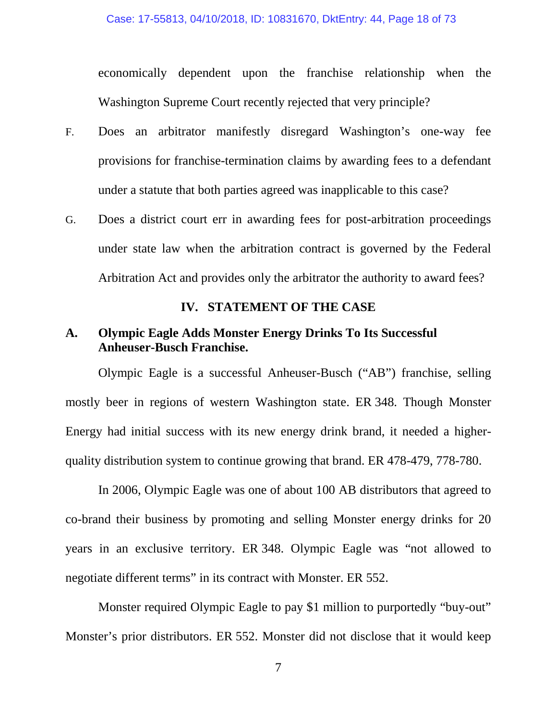economically dependent upon the franchise relationship when the Washington Supreme Court recently rejected that very principle?

- F. Does an arbitrator manifestly disregard Washington's one-way fee provisions for franchise-termination claims by awarding fees to a defendant under a statute that both parties agreed was inapplicable to this case?
- G. Does a district court err in awarding fees for post-arbitration proceedings under state law when the arbitration contract is governed by the Federal Arbitration Act and provides only the arbitrator the authority to award fees?

### **IV. STATEMENT OF THE CASE**

### **A. Olympic Eagle Adds Monster Energy Drinks To Its Successful Anheuser-Busch Franchise.**

Olympic Eagle is a successful Anheuser-Busch ("AB") franchise, selling mostly beer in regions of western Washington state. ER 348. Though Monster Energy had initial success with its new energy drink brand, it needed a higherquality distribution system to continue growing that brand. ER 478-479, 778-780.

In 2006, Olympic Eagle was one of about 100 AB distributors that agreed to co-brand their business by promoting and selling Monster energy drinks for 20 years in an exclusive territory. ER 348. Olympic Eagle was "not allowed to negotiate different terms" in its contract with Monster. ER 552.

Monster required Olympic Eagle to pay \$1 million to purportedly "buy-out" Monster's prior distributors. ER 552. Monster did not disclose that it would keep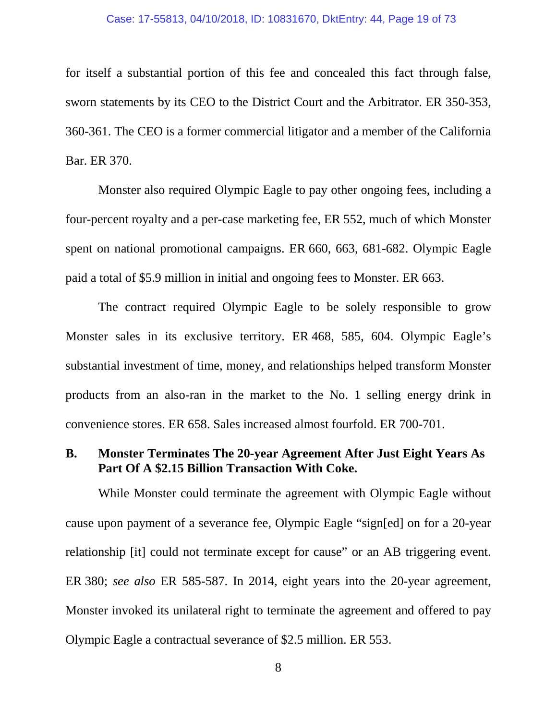#### Case: 17-55813, 04/10/2018, ID: 10831670, DktEntry: 44, Page 19 of 73

for itself a substantial portion of this fee and concealed this fact through false, sworn statements by its CEO to the District Court and the Arbitrator. ER 350-353, 360-361. The CEO is a former commercial litigator and a member of the California Bar. ER 370.

Monster also required Olympic Eagle to pay other ongoing fees, including a four-percent royalty and a per-case marketing fee, ER 552, much of which Monster spent on national promotional campaigns. ER 660, 663, 681-682. Olympic Eagle paid a total of \$5.9 million in initial and ongoing fees to Monster. ER 663.

The contract required Olympic Eagle to be solely responsible to grow Monster sales in its exclusive territory. ER 468, 585, 604. Olympic Eagle's substantial investment of time, money, and relationships helped transform Monster products from an also-ran in the market to the No. 1 selling energy drink in convenience stores. ER 658. Sales increased almost fourfold. ER 700-701.

## **B. Monster Terminates The 20-year Agreement After Just Eight Years As Part Of A \$2.15 Billion Transaction With Coke.**

While Monster could terminate the agreement with Olympic Eagle without cause upon payment of a severance fee, Olympic Eagle "sign[ed] on for a 20-year relationship [it] could not terminate except for cause" or an AB triggering event. ER 380; *see also* ER 585-587. In 2014, eight years into the 20-year agreement, Monster invoked its unilateral right to terminate the agreement and offered to pay Olympic Eagle a contractual severance of \$2.5 million. ER 553.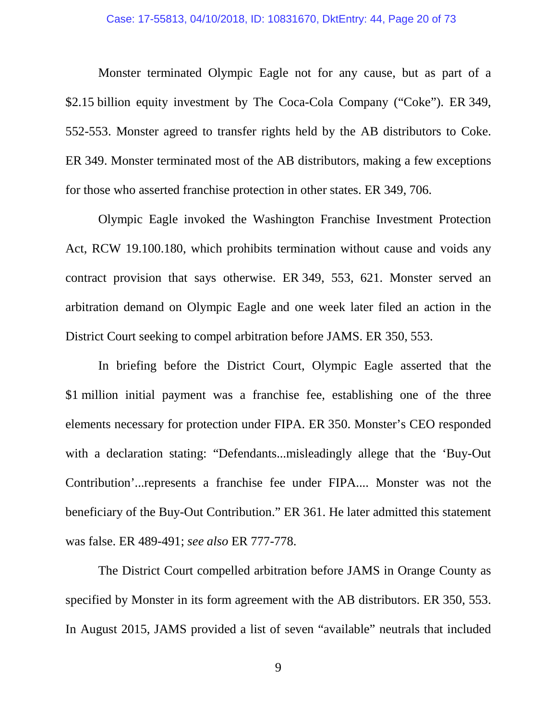Monster terminated Olympic Eagle not for any cause, but as part of a \$2.15 billion equity investment by The Coca-Cola Company ("Coke"). ER 349, 552-553. Monster agreed to transfer rights held by the AB distributors to Coke. ER 349. Monster terminated most of the AB distributors, making a few exceptions for those who asserted franchise protection in other states. ER 349, 706.

Olympic Eagle invoked the Washington Franchise Investment Protection Act, RCW 19.100.180, which prohibits termination without cause and voids any contract provision that says otherwise. ER 349, 553, 621. Monster served an arbitration demand on Olympic Eagle and one week later filed an action in the District Court seeking to compel arbitration before JAMS. ER 350, 553.

In briefing before the District Court, Olympic Eagle asserted that the \$1 million initial payment was a franchise fee, establishing one of the three elements necessary for protection under FIPA. ER 350. Monster's CEO responded with a declaration stating: "Defendants...misleadingly allege that the 'Buy-Out Contribution'...represents a franchise fee under FIPA.... Monster was not the beneficiary of the Buy-Out Contribution." ER 361. He later admitted this statement was false. ER 489-491; *see also* ER 777-778.

The District Court compelled arbitration before JAMS in Orange County as specified by Monster in its form agreement with the AB distributors. ER 350, 553. In August 2015, JAMS provided a list of seven "available" neutrals that included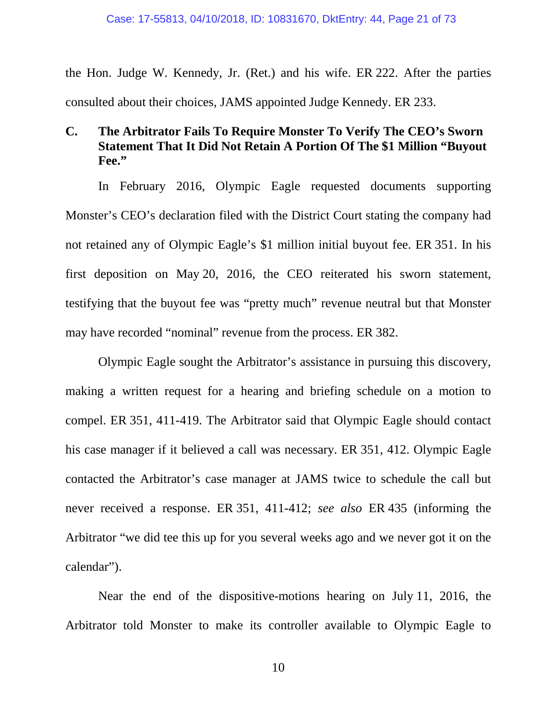the Hon. Judge W. Kennedy, Jr. (Ret.) and his wife. ER 222. After the parties consulted about their choices, JAMS appointed Judge Kennedy. ER 233.

## **C. The Arbitrator Fails To Require Monster To Verify The CEO's Sworn Statement That It Did Not Retain A Portion Of The \$1 Million "Buyout Fee."**

In February 2016, Olympic Eagle requested documents supporting Monster's CEO's declaration filed with the District Court stating the company had not retained any of Olympic Eagle's \$1 million initial buyout fee. ER 351. In his first deposition on May 20, 2016, the CEO reiterated his sworn statement, testifying that the buyout fee was "pretty much" revenue neutral but that Monster may have recorded "nominal" revenue from the process. ER 382.

Olympic Eagle sought the Arbitrator's assistance in pursuing this discovery, making a written request for a hearing and briefing schedule on a motion to compel. ER 351, 411-419. The Arbitrator said that Olympic Eagle should contact his case manager if it believed a call was necessary. ER 351, 412. Olympic Eagle contacted the Arbitrator's case manager at JAMS twice to schedule the call but never received a response. ER 351, 411-412; *see also* ER 435 (informing the Arbitrator "we did tee this up for you several weeks ago and we never got it on the calendar").

Near the end of the dispositive-motions hearing on July 11, 2016, the Arbitrator told Monster to make its controller available to Olympic Eagle to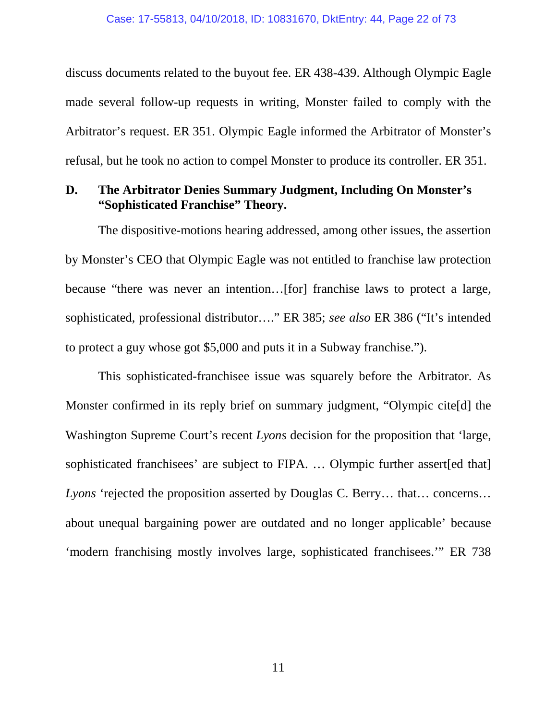discuss documents related to the buyout fee. ER 438-439. Although Olympic Eagle made several follow-up requests in writing, Monster failed to comply with the Arbitrator's request. ER 351. Olympic Eagle informed the Arbitrator of Monster's refusal, but he took no action to compel Monster to produce its controller. ER 351.

#### **D. The Arbitrator Denies Summary Judgment, Including On Monster's "Sophisticated Franchise" Theory.**

The dispositive-motions hearing addressed, among other issues, the assertion by Monster's CEO that Olympic Eagle was not entitled to franchise law protection because "there was never an intention…[for] franchise laws to protect a large, sophisticated, professional distributor…." ER 385; *see also* ER 386 ("It's intended to protect a guy whose got \$5,000 and puts it in a Subway franchise.").

This sophisticated-franchisee issue was squarely before the Arbitrator. As Monster confirmed in its reply brief on summary judgment, "Olympic cite[d] the Washington Supreme Court's recent *Lyons* decision for the proposition that 'large, sophisticated franchisees' are subject to FIPA. … Olympic further assert[ed that] *Lyons* 'rejected the proposition asserted by Douglas C. Berry… that… concerns… about unequal bargaining power are outdated and no longer applicable' because 'modern franchising mostly involves large, sophisticated franchisees.'" ER 738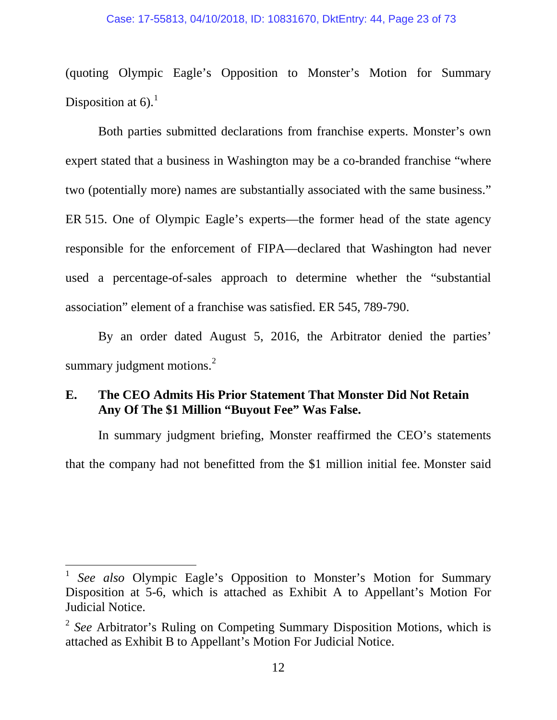#### Case: 17-55813, 04/10/2018, ID: 10831670, DktEntry: 44, Page 23 of 73

(quoting Olympic Eagle's Opposition to Monster's Motion for Summary Disposition at  $6$ ).<sup>1</sup>

Both parties submitted declarations from franchise experts. Monster's own expert stated that a business in Washington may be a co-branded franchise "where two (potentially more) names are substantially associated with the same business." ER 515. One of Olympic Eagle's experts—the former head of the state agency responsible for the enforcement of FIPA—declared that Washington had never used a percentage-of-sales approach to determine whether the "substantial association" element of a franchise was satisfied. ER 545, 789-790.

By an order dated August 5, 2016, the Arbitrator denied the parties' summary judgment motions. $^{2}$ 

#### **E. The CEO Admits His Prior Statement That Monster Did Not Retain Any Of The \$1 Million "Buyout Fee" Was False.**

In summary judgment briefing, Monster reaffirmed the CEO's statements that the company had not benefitted from the \$1 million initial fee. Monster said

 <sup>1</sup> *See also* Olympic Eagle's Opposition to Monster's Motion for Summary Disposition at 5-6, which is attached as Exhibit A to Appellant's Motion For Judicial Notice.

<sup>2</sup> *See* Arbitrator's Ruling on Competing Summary Disposition Motions, which is attached as Exhibit B to Appellant's Motion For Judicial Notice.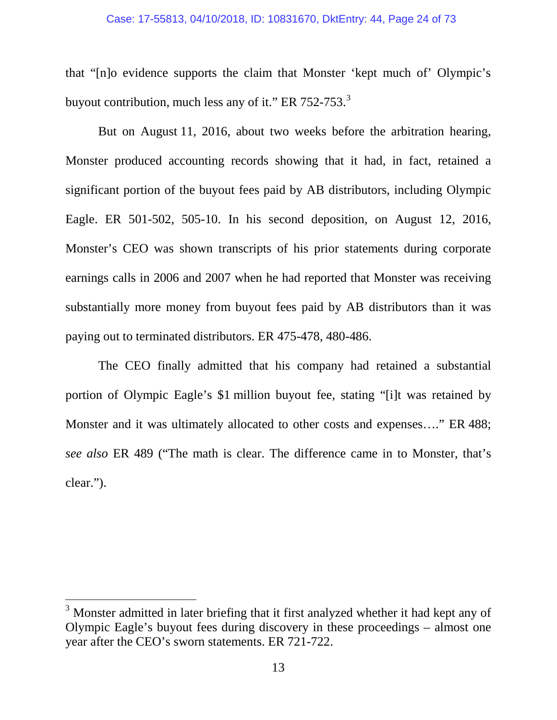#### Case: 17-55813, 04/10/2018, ID: 10831670, DktEntry: 44, Page 24 of 73

that "[n]o evidence supports the claim that Monster 'kept much of' Olympic's buyout contribution, much less any of it." ER  $752-753$ .<sup>3</sup>

But on August 11, 2016, about two weeks before the arbitration hearing, Monster produced accounting records showing that it had, in fact, retained a significant portion of the buyout fees paid by AB distributors, including Olympic Eagle. ER 501-502, 505-10. In his second deposition, on August 12, 2016, Monster's CEO was shown transcripts of his prior statements during corporate earnings calls in 2006 and 2007 when he had reported that Monster was receiving substantially more money from buyout fees paid by AB distributors than it was paying out to terminated distributors. ER 475-478, 480-486.

The CEO finally admitted that his company had retained a substantial portion of Olympic Eagle's \$1 million buyout fee, stating "[i]t was retained by Monster and it was ultimately allocated to other costs and expenses...." ER 488; *see also* ER 489 ("The math is clear. The difference came in to Monster, that's clear.").

<sup>&</sup>lt;sup>3</sup> Monster admitted in later briefing that it first analyzed whether it had kept any of Olympic Eagle's buyout fees during discovery in these proceedings – almost one year after the CEO's sworn statements. ER 721-722.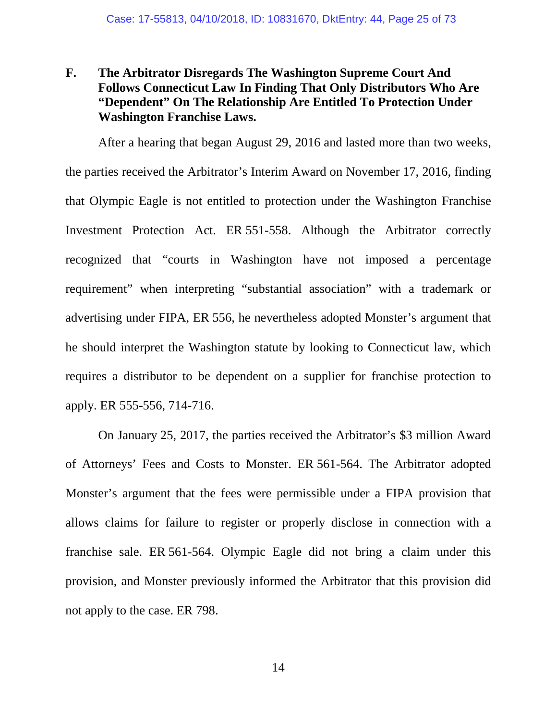## **F. The Arbitrator Disregards The Washington Supreme Court And Follows Connecticut Law In Finding That Only Distributors Who Are "Dependent" On The Relationship Are Entitled To Protection Under Washington Franchise Laws.**

After a hearing that began August 29, 2016 and lasted more than two weeks, the parties received the Arbitrator's Interim Award on November 17, 2016, finding that Olympic Eagle is not entitled to protection under the Washington Franchise Investment Protection Act. ER 551-558. Although the Arbitrator correctly recognized that "courts in Washington have not imposed a percentage requirement" when interpreting "substantial association" with a trademark or advertising under FIPA, ER 556, he nevertheless adopted Monster's argument that he should interpret the Washington statute by looking to Connecticut law, which requires a distributor to be dependent on a supplier for franchise protection to apply. ER 555-556, 714-716.

On January 25, 2017, the parties received the Arbitrator's \$3 million Award of Attorneys' Fees and Costs to Monster. ER 561-564. The Arbitrator adopted Monster's argument that the fees were permissible under a FIPA provision that allows claims for failure to register or properly disclose in connection with a franchise sale. ER 561-564. Olympic Eagle did not bring a claim under this provision, and Monster previously informed the Arbitrator that this provision did not apply to the case. ER 798.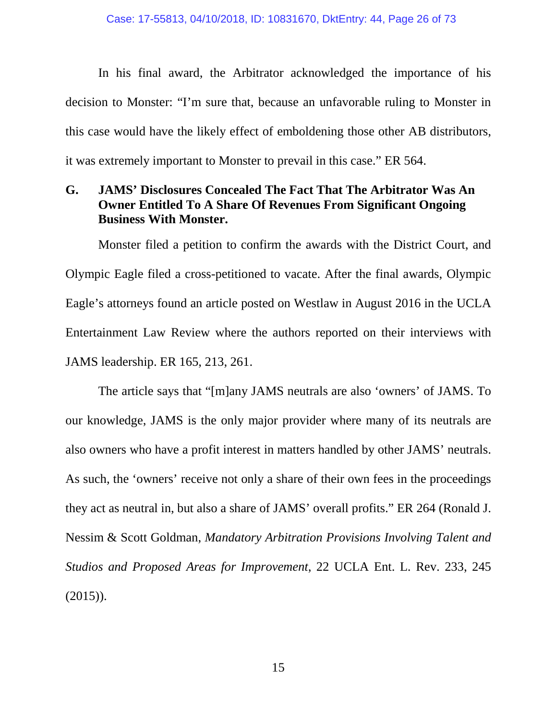In his final award, the Arbitrator acknowledged the importance of his decision to Monster: "I'm sure that, because an unfavorable ruling to Monster in this case would have the likely effect of emboldening those other AB distributors, it was extremely important to Monster to prevail in this case." ER 564.

## **G. JAMS' Disclosures Concealed The Fact That The Arbitrator Was An Owner Entitled To A Share Of Revenues From Significant Ongoing Business With Monster.**

Monster filed a petition to confirm the awards with the District Court, and Olympic Eagle filed a cross-petitioned to vacate. After the final awards, Olympic Eagle's attorneys found an article posted on Westlaw in August 2016 in the UCLA Entertainment Law Review where the authors reported on their interviews with JAMS leadership. ER 165, 213, 261.

The article says that "[m]any JAMS neutrals are also 'owners' of JAMS. To our knowledge, JAMS is the only major provider where many of its neutrals are also owners who have a profit interest in matters handled by other JAMS' neutrals. As such, the 'owners' receive not only a share of their own fees in the proceedings they act as neutral in, but also a share of JAMS' overall profits." ER 264 (Ronald J. Nessim & Scott Goldman, *Mandatory Arbitration Provisions Involving Talent and Studios and Proposed Areas for Improvement*, 22 UCLA Ent. L. Rev. 233, 245  $(2015)$ ).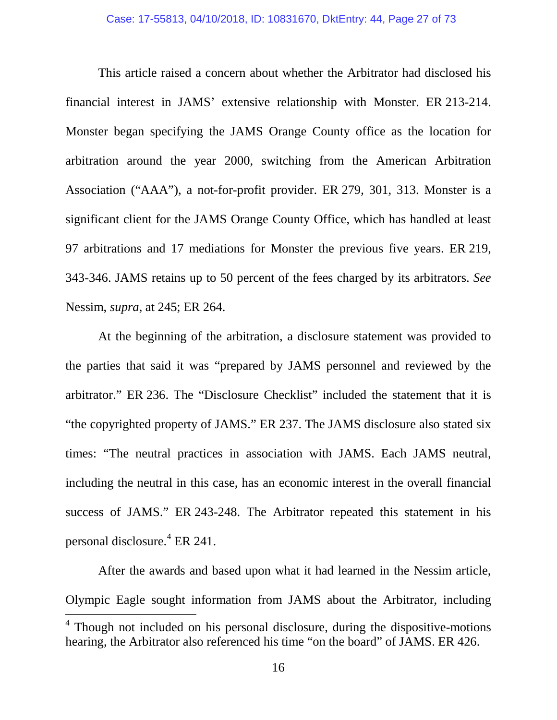This article raised a concern about whether the Arbitrator had disclosed his financial interest in JAMS' extensive relationship with Monster. ER 213-214. Monster began specifying the JAMS Orange County office as the location for arbitration around the year 2000, switching from the American Arbitration Association ("AAA"), a not-for-profit provider. ER 279, 301, 313. Monster is a significant client for the JAMS Orange County Office, which has handled at least 97 arbitrations and 17 mediations for Monster the previous five years. ER 219, 343-346. JAMS retains up to 50 percent of the fees charged by its arbitrators. *See*  Nessim, *supra*, at 245; ER 264.

At the beginning of the arbitration, a disclosure statement was provided to the parties that said it was "prepared by JAMS personnel and reviewed by the arbitrator." ER 236. The "Disclosure Checklist" included the statement that it is "the copyrighted property of JAMS." ER 237. The JAMS disclosure also stated six times: "The neutral practices in association with JAMS. Each JAMS neutral, including the neutral in this case, has an economic interest in the overall financial success of JAMS." ER 243-248. The Arbitrator repeated this statement in his personal disclosure.<sup>4</sup> ER 241.

After the awards and based upon what it had learned in the Nessim article, Olympic Eagle sought information from JAMS about the Arbitrator, including

 $4$  Though not included on his personal disclosure, during the dispositive-motions hearing, the Arbitrator also referenced his time "on the board" of JAMS. ER 426.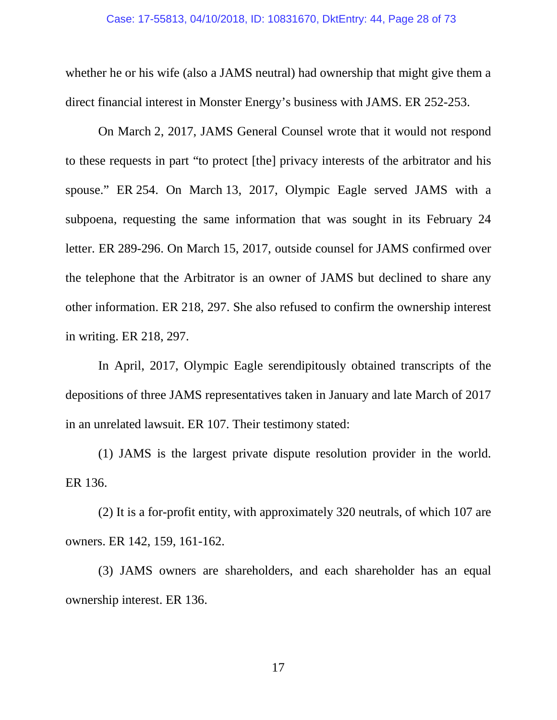whether he or his wife (also a JAMS neutral) had ownership that might give them a direct financial interest in Monster Energy's business with JAMS. ER 252-253.

On March 2, 2017, JAMS General Counsel wrote that it would not respond to these requests in part "to protect [the] privacy interests of the arbitrator and his spouse." ER 254. On March 13, 2017, Olympic Eagle served JAMS with a subpoena, requesting the same information that was sought in its February 24 letter. ER 289-296. On March 15, 2017, outside counsel for JAMS confirmed over the telephone that the Arbitrator is an owner of JAMS but declined to share any other information. ER 218, 297. She also refused to confirm the ownership interest in writing. ER 218, 297.

In April, 2017, Olympic Eagle serendipitously obtained transcripts of the depositions of three JAMS representatives taken in January and late March of 2017 in an unrelated lawsuit. ER 107. Their testimony stated:

(1) JAMS is the largest private dispute resolution provider in the world. ER 136.

(2) It is a for-profit entity, with approximately 320 neutrals, of which 107 are owners. ER 142, 159, 161-162.

(3) JAMS owners are shareholders, and each shareholder has an equal ownership interest. ER 136.

17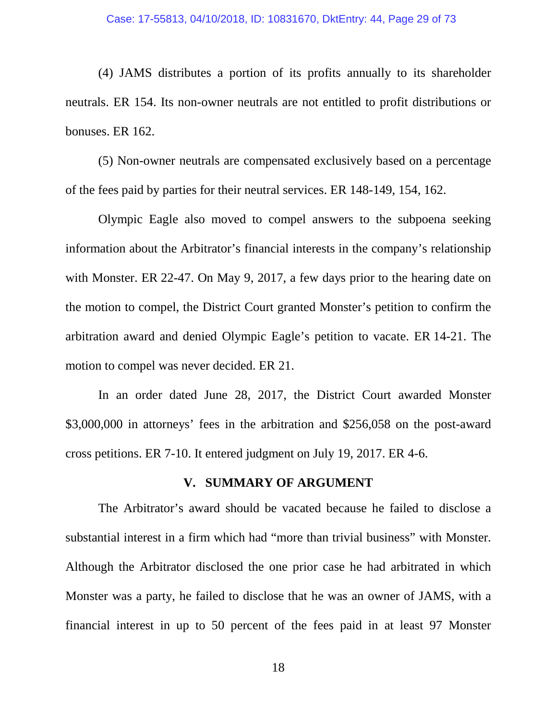(4) JAMS distributes a portion of its profits annually to its shareholder neutrals. ER 154. Its non-owner neutrals are not entitled to profit distributions or bonuses. ER 162.

(5) Non-owner neutrals are compensated exclusively based on a percentage of the fees paid by parties for their neutral services. ER 148-149, 154, 162.

Olympic Eagle also moved to compel answers to the subpoena seeking information about the Arbitrator's financial interests in the company's relationship with Monster. ER 22-47. On May 9, 2017, a few days prior to the hearing date on the motion to compel, the District Court granted Monster's petition to confirm the arbitration award and denied Olympic Eagle's petition to vacate. ER 14-21. The motion to compel was never decided. ER 21.

In an order dated June 28, 2017, the District Court awarded Monster \$3,000,000 in attorneys' fees in the arbitration and \$256,058 on the post-award cross petitions. ER 7-10. It entered judgment on July 19, 2017. ER 4-6.

#### **V. SUMMARY OF ARGUMENT**

The Arbitrator's award should be vacated because he failed to disclose a substantial interest in a firm which had "more than trivial business" with Monster. Although the Arbitrator disclosed the one prior case he had arbitrated in which Monster was a party, he failed to disclose that he was an owner of JAMS, with a financial interest in up to 50 percent of the fees paid in at least 97 Monster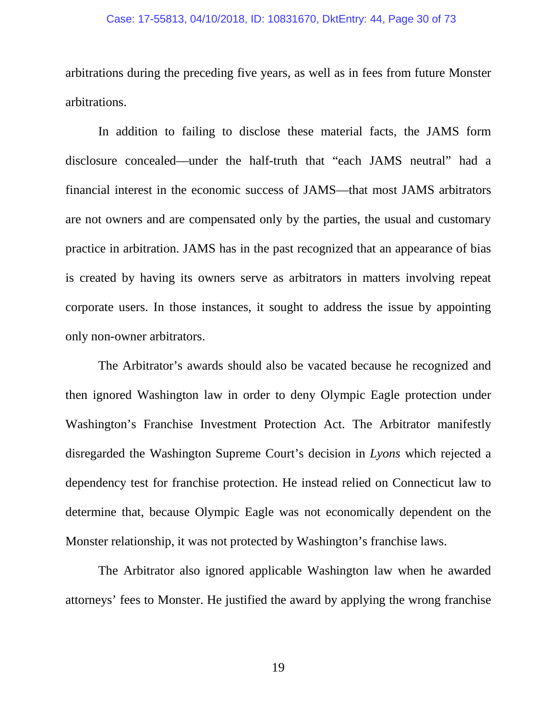#### Case: 17-55813, 04/10/2018, ID: 10831670, DktEntry: 44, Page 30 of 73

arbitrations during the preceding five years, as well as in fees from future Monster arbitrations.

In addition to failing to disclose these material facts, the JAMS form disclosure concealed—under the half-truth that "each JAMS neutral" had a financial interest in the economic success of JAMS—that most JAMS arbitrators are not owners and are compensated only by the parties, the usual and customary practice in arbitration. JAMS has in the past recognized that an appearance of bias is created by having its owners serve as arbitrators in matters involving repeat corporate users. In those instances, it sought to address the issue by appointing only non-owner arbitrators.

The Arbitrator's awards should also be vacated because he recognized and then ignored Washington law in order to deny Olympic Eagle protection under Washington's Franchise Investment Protection Act. The Arbitrator manifestly disregarded the Washington Supreme Court's decision in *Lyons* which rejected a dependency test for franchise protection. He instead relied on Connecticut law to determine that, because Olympic Eagle was not economically dependent on the Monster relationship, it was not protected by Washington's franchise laws.

The Arbitrator also ignored applicable Washington law when he awarded attorneys' fees to Monster. He justified the award by applying the wrong franchise

19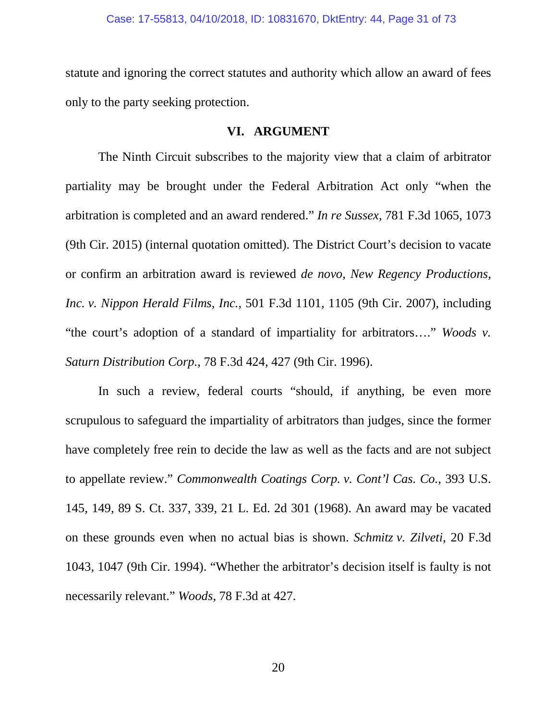statute and ignoring the correct statutes and authority which allow an award of fees only to the party seeking protection.

#### **VI. ARGUMENT**

The Ninth Circuit subscribes to the majority view that a claim of arbitrator partiality may be brought under the Federal Arbitration Act only "when the arbitration is completed and an award rendered." *In re Sussex*, 781 F.3d 1065, 1073 (9th Cir. 2015) (internal quotation omitted). The District Court's decision to vacate or confirm an arbitration award is reviewed *de novo*, *New Regency Productions, Inc. v. Nippon Herald Films, Inc.*, 501 F.3d 1101, 1105 (9th Cir. 2007), including "the court's adoption of a standard of impartiality for arbitrators…." *Woods v. Saturn Distribution Corp.*, 78 F.3d 424, 427 (9th Cir. 1996).

In such a review, federal courts "should, if anything, be even more scrupulous to safeguard the impartiality of arbitrators than judges, since the former have completely free rein to decide the law as well as the facts and are not subject to appellate review." *Commonwealth Coatings Corp. v. Cont'l Cas. Co.*, 393 U.S. 145, 149, 89 S. Ct. 337, 339, 21 L. Ed. 2d 301 (1968). An award may be vacated on these grounds even when no actual bias is shown. *Schmitz v. Zilveti*, 20 F.3d 1043, 1047 (9th Cir. 1994). "Whether the arbitrator's decision itself is faulty is not necessarily relevant." *Woods*, 78 F.3d at 427.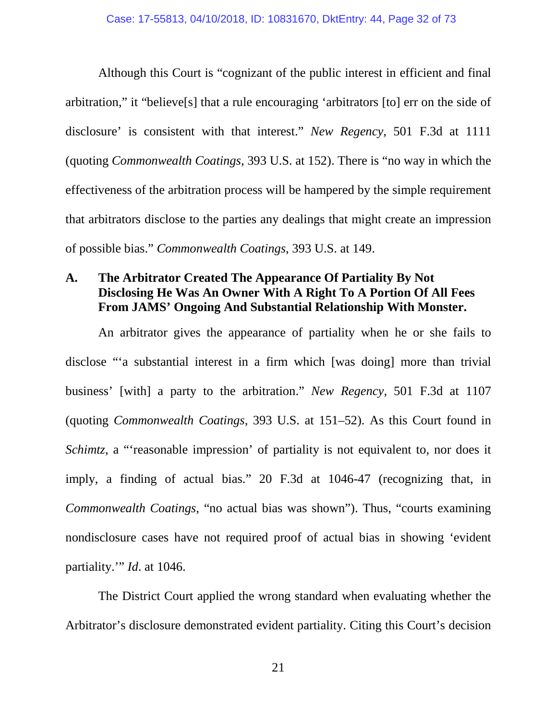Although this Court is "cognizant of the public interest in efficient and final arbitration," it "believe[s] that a rule encouraging 'arbitrators [to] err on the side of disclosure' is consistent with that interest." *New Regency*, 501 F.3d at 1111 (quoting *Commonwealth Coatings*, 393 U.S. at 152). There is "no way in which the effectiveness of the arbitration process will be hampered by the simple requirement that arbitrators disclose to the parties any dealings that might create an impression of possible bias." *Commonwealth Coatings*, 393 U.S. at 149.

### **A. The Arbitrator Created The Appearance Of Partiality By Not Disclosing He Was An Owner With A Right To A Portion Of All Fees From JAMS' Ongoing And Substantial Relationship With Monster.**

An arbitrator gives the appearance of partiality when he or she fails to disclose "'a substantial interest in a firm which [was doing] more than trivial business' [with] a party to the arbitration." *New Regency*, 501 F.3d at 1107 (quoting *Commonwealth Coatings*, 393 U.S. at 151–52). As this Court found in *Schimtz*, a "reasonable impression' of partiality is not equivalent to, nor does it imply, a finding of actual bias." 20 F.3d at 1046-47 (recognizing that, in *Commonwealth Coatings*, "no actual bias was shown"). Thus, "courts examining nondisclosure cases have not required proof of actual bias in showing 'evident partiality.'" *Id*. at 1046.

The District Court applied the wrong standard when evaluating whether the Arbitrator's disclosure demonstrated evident partiality. Citing this Court's decision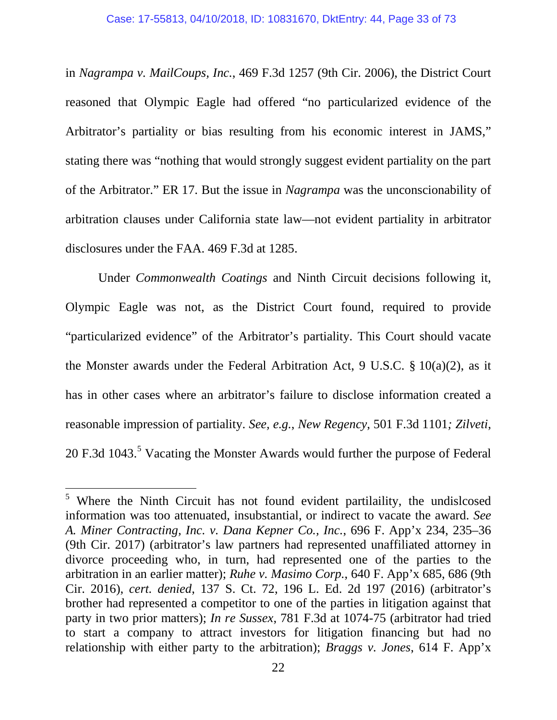in *Nagrampa v. MailCoups, Inc.*, 469 F.3d 1257 (9th Cir. 2006), the District Court reasoned that Olympic Eagle had offered "no particularized evidence of the Arbitrator's partiality or bias resulting from his economic interest in JAMS," stating there was "nothing that would strongly suggest evident partiality on the part of the Arbitrator." ER 17. But the issue in *Nagrampa* was the unconscionability of arbitration clauses under California state law—not evident partiality in arbitrator disclosures under the FAA. 469 F.3d at 1285.

Under *Commonwealth Coatings* and Ninth Circuit decisions following it, Olympic Eagle was not, as the District Court found, required to provide "particularized evidence" of the Arbitrator's partiality. This Court should vacate the Monster awards under the Federal Arbitration Act, 9 U.S.C. § 10(a)(2), as it has in other cases where an arbitrator's failure to disclose information created a reasonable impression of partiality. *See, e.g.*, *New Regency*, 501 F.3d 1101*; Zilveti*, 20 F.3d 1043.<sup>5</sup> Vacating the Monster Awards would further the purpose of Federal

<sup>&</sup>lt;sup>5</sup> Where the Ninth Circuit has not found evident partilaility, the undislcosed information was too attenuated, insubstantial, or indirect to vacate the award. *See A. Miner Contracting, Inc. v. Dana Kepner Co., Inc.*, 696 F. App'x 234, 235–36 (9th Cir. 2017) (arbitrator's law partners had represented unaffiliated attorney in divorce proceeding who, in turn, had represented one of the parties to the arbitration in an earlier matter); *Ruhe v. Masimo Corp.*, 640 F. App'x 685, 686 (9th Cir. 2016), *cert. denied*, 137 S. Ct. 72, 196 L. Ed. 2d 197 (2016) (arbitrator's brother had represented a competitor to one of the parties in litigation against that party in two prior matters); *In re Sussex*, 781 F.3d at 1074-75 (arbitrator had tried to start a company to attract investors for litigation financing but had no relationship with either party to the arbitration); *Braggs v. Jones*, 614 F. App'x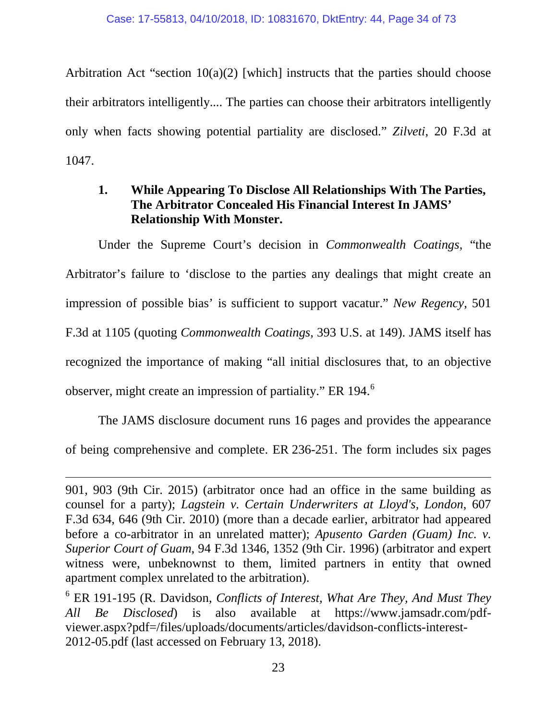Arbitration Act "section  $10(a)(2)$  [which] instructs that the parties should choose their arbitrators intelligently.... The parties can choose their arbitrators intelligently only when facts showing potential partiality are disclosed." *Zilveti*, 20 F.3d at 1047.

## **1. While Appearing To Disclose All Relationships With The Parties, The Arbitrator Concealed His Financial Interest In JAMS' Relationship With Monster.**

Under the Supreme Court's decision in *Commonwealth Coatings*, "the Arbitrator's failure to 'disclose to the parties any dealings that might create an impression of possible bias' is sufficient to support vacatur." *New Regency*, 501 F.3d at 1105 (quoting *Commonwealth Coatings*, 393 U.S. at 149). JAMS itself has recognized the importance of making "all initial disclosures that, to an objective observer, might create an impression of partiality." ER 194.<sup>6</sup>

The JAMS disclosure document runs 16 pages and provides the appearance of being comprehensive and complete. ER 236-251. The form includes six pages

 $\overline{a}$ 

<sup>901, 903 (9</sup>th Cir. 2015) (arbitrator once had an office in the same building as counsel for a party); *Lagstein v. Certain Underwriters at Lloyd's, London*, 607 F.3d 634, 646 (9th Cir. 2010) (more than a decade earlier, arbitrator had appeared before a co-arbitrator in an unrelated matter); *Apusento Garden (Guam) Inc. v. Superior Court of Guam*, 94 F.3d 1346, 1352 (9th Cir. 1996) (arbitrator and expert witness were, unbeknownst to them, limited partners in entity that owned apartment complex unrelated to the arbitration).

<sup>6</sup> ER 191-195 (R. Davidson, *Conflicts of Interest, What Are They, And Must They All Be Disclosed*) is also available at https://www.jamsadr.com/pdfviewer.aspx?pdf=/files/uploads/documents/articles/davidson-conflicts-interest-2012-05.pdf (last accessed on February 13, 2018).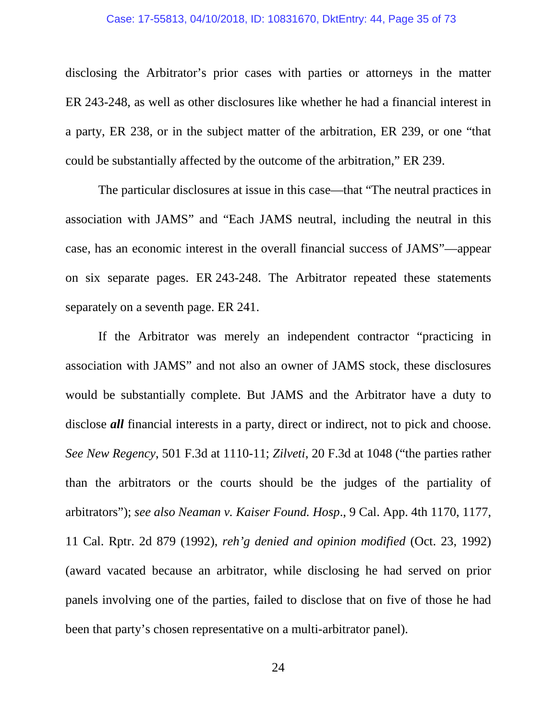#### Case: 17-55813, 04/10/2018, ID: 10831670, DktEntry: 44, Page 35 of 73

disclosing the Arbitrator's prior cases with parties or attorneys in the matter ER 243-248, as well as other disclosures like whether he had a financial interest in a party, ER 238, or in the subject matter of the arbitration, ER 239, or one "that could be substantially affected by the outcome of the arbitration," ER 239.

The particular disclosures at issue in this case—that "The neutral practices in association with JAMS" and "Each JAMS neutral, including the neutral in this case, has an economic interest in the overall financial success of JAMS"—appear on six separate pages. ER 243-248. The Arbitrator repeated these statements separately on a seventh page. ER 241.

If the Arbitrator was merely an independent contractor "practicing in association with JAMS" and not also an owner of JAMS stock, these disclosures would be substantially complete. But JAMS and the Arbitrator have a duty to disclose *all* financial interests in a party, direct or indirect, not to pick and choose. *See New Regency*, 501 F.3d at 1110-11; *Zilveti*, 20 F.3d at 1048 ("the parties rather than the arbitrators or the courts should be the judges of the partiality of arbitrators"); *see also Neaman v. Kaiser Found. Hosp*., 9 Cal. App. 4th 1170, 1177, 11 Cal. Rptr. 2d 879 (1992), *reh'g denied and opinion modified* (Oct. 23, 1992) (award vacated because an arbitrator, while disclosing he had served on prior panels involving one of the parties, failed to disclose that on five of those he had been that party's chosen representative on a multi-arbitrator panel).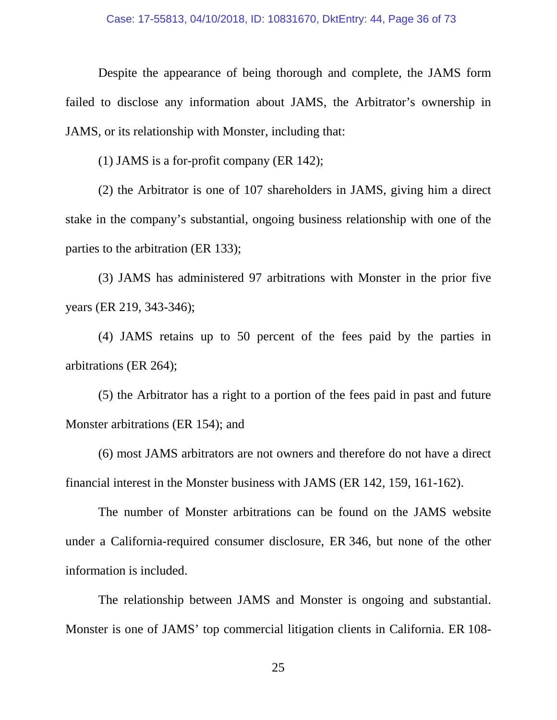Despite the appearance of being thorough and complete, the JAMS form failed to disclose any information about JAMS, the Arbitrator's ownership in JAMS, or its relationship with Monster, including that:

(1) JAMS is a for-profit company (ER 142);

(2) the Arbitrator is one of 107 shareholders in JAMS, giving him a direct stake in the company's substantial, ongoing business relationship with one of the parties to the arbitration (ER 133);

(3) JAMS has administered 97 arbitrations with Monster in the prior five years (ER 219, 343-346);

(4) JAMS retains up to 50 percent of the fees paid by the parties in arbitrations (ER 264);

(5) the Arbitrator has a right to a portion of the fees paid in past and future Monster arbitrations (ER 154); and

(6) most JAMS arbitrators are not owners and therefore do not have a direct financial interest in the Monster business with JAMS (ER 142, 159, 161-162).

The number of Monster arbitrations can be found on the JAMS website under a California-required consumer disclosure, ER 346, but none of the other information is included.

The relationship between JAMS and Monster is ongoing and substantial. Monster is one of JAMS' top commercial litigation clients in California. ER 108-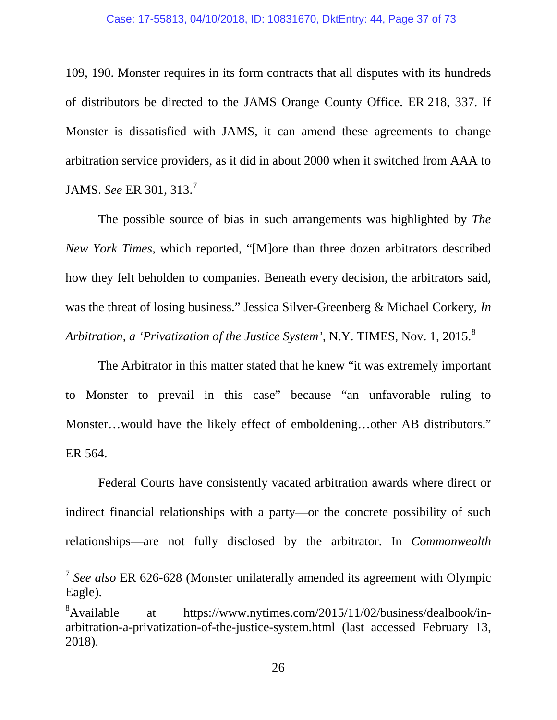109, 190. Monster requires in its form contracts that all disputes with its hundreds of distributors be directed to the JAMS Orange County Office. ER 218, 337. If Monster is dissatisfied with JAMS, it can amend these agreements to change arbitration service providers, as it did in about 2000 when it switched from AAA to JAMS. *See* ER 301, 313.<sup>7</sup>

The possible source of bias in such arrangements was highlighted by *The New York Times*, which reported, "[M]ore than three dozen arbitrators described how they felt beholden to companies. Beneath every decision, the arbitrators said, was the threat of losing business." Jessica Silver-Greenberg & Michael Corkery, *In Arbitration, a 'Privatization of the Justice System', N.Y. TIMES, Nov. 1, 2015.*<sup>8</sup>

The Arbitrator in this matter stated that he knew "it was extremely important to Monster to prevail in this case" because "an unfavorable ruling to Monster…would have the likely effect of emboldening…other AB distributors." ER 564.

Federal Courts have consistently vacated arbitration awards where direct or indirect financial relationships with a party—or the concrete possibility of such relationships—are not fully disclosed by the arbitrator. In *Commonwealth* 

 <sup>7</sup> *See also* ER 626-628 (Monster unilaterally amended its agreement with Olympic Eagle).

<sup>&</sup>lt;sup>8</sup>Available at https://www.nytimes.com/2015/11/02/business/dealbook/inarbitration-a-privatization-of-the-justice-system.html (last accessed February 13, 2018).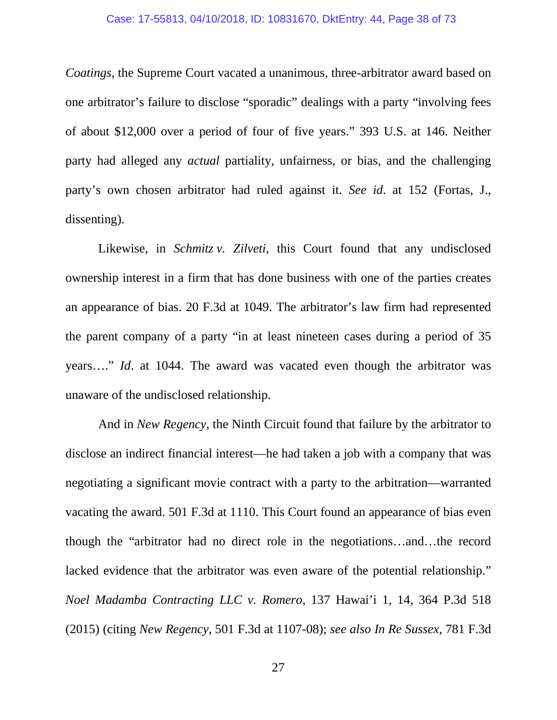#### Case: 17-55813, 04/10/2018, ID: 10831670, DktEntry: 44, Page 38 of 73

*Coatings*, the Supreme Court vacated a unanimous, three-arbitrator award based on one arbitrator's failure to disclose "sporadic" dealings with a party "involving fees of about \$12,000 over a period of four of five years." 393 U.S. at 146. Neither party had alleged any *actual* partiality, unfairness, or bias, and the challenging party's own chosen arbitrator had ruled against it. *See id*. at 152 (Fortas, J., dissenting).

Likewise, in *Schmitz v. Zilveti*, this Court found that any undisclosed ownership interest in a firm that has done business with one of the parties creates an appearance of bias. 20 F.3d at 1049. The arbitrator's law firm had represented the parent company of a party "in at least nineteen cases during a period of 35 years…." *Id*. at 1044. The award was vacated even though the arbitrator was unaware of the undisclosed relationship.

And in *New Regency*, the Ninth Circuit found that failure by the arbitrator to disclose an indirect financial interest—he had taken a job with a company that was negotiating a significant movie contract with a party to the arbitration—warranted vacating the award. 501 F.3d at 1110. This Court found an appearance of bias even though the "arbitrator had no direct role in the negotiations…and…the record lacked evidence that the arbitrator was even aware of the potential relationship." *Noel Madamba Contracting LLC v. Romero*, 137 Hawai'i 1, 14, 364 P.3d 518 (2015) (citing *New Regency*, 501 F.3d at 1107-08); *see also In Re Sussex*, 781 F.3d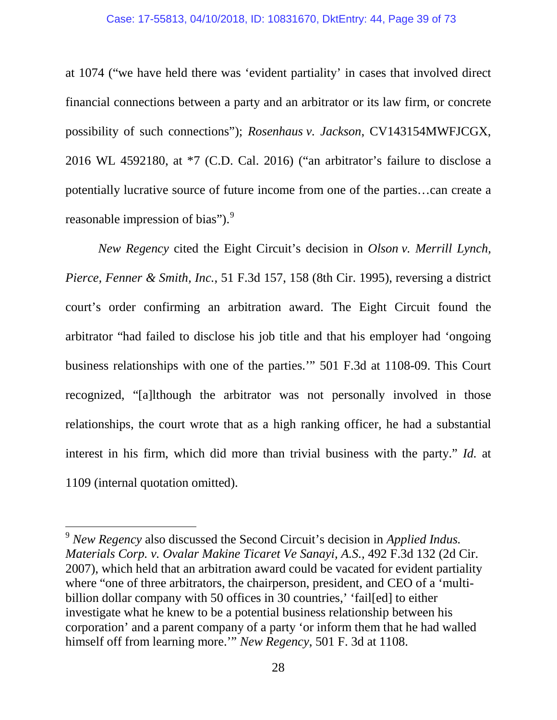#### Case: 17-55813, 04/10/2018, ID: 10831670, DktEntry: 44, Page 39 of 73

at 1074 ("we have held there was 'evident partiality' in cases that involved direct financial connections between a party and an arbitrator or its law firm, or concrete possibility of such connections"); *Rosenhaus v. Jackson*, CV143154MWFJCGX, 2016 WL 4592180, at \*7 (C.D. Cal. 2016) ("an arbitrator's failure to disclose a potentially lucrative source of future income from one of the parties…can create a reasonable impression of bias").<sup>9</sup>

*New Regency* cited the Eight Circuit's decision in *Olson v. Merrill Lynch, Pierce, Fenner & Smith, Inc.*, 51 F.3d 157, 158 (8th Cir. 1995), reversing a district court's order confirming an arbitration award. The Eight Circuit found the arbitrator "had failed to disclose his job title and that his employer had 'ongoing business relationships with one of the parties.'" 501 F.3d at 1108-09. This Court recognized, "[a]lthough the arbitrator was not personally involved in those relationships, the court wrote that as a high ranking officer, he had a substantial interest in his firm, which did more than trivial business with the party." *Id.* at 1109 (internal quotation omitted).

 <sup>9</sup> *New Regency* also discussed the Second Circuit's decision in *Applied Indus. Materials Corp. v. Ovalar Makine Ticaret Ve Sanayi, A.S.,* 492 F.3d 132 (2d Cir. 2007), which held that an arbitration award could be vacated for evident partiality where "one of three arbitrators, the chairperson, president, and CEO of a 'multibillion dollar company with 50 offices in 30 countries,' 'fail[ed] to either investigate what he knew to be a potential business relationship between his corporation' and a parent company of a party 'or inform them that he had walled himself off from learning more.'" *New Regency*, 501 F. 3d at 1108.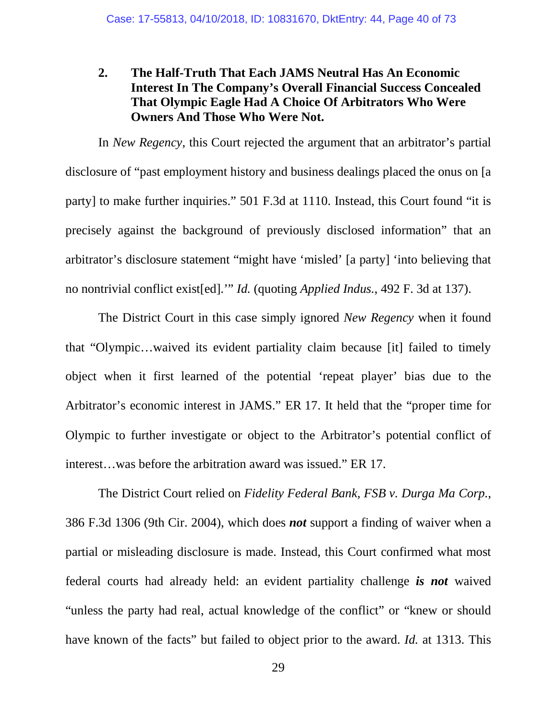## **2. The Half-Truth That Each JAMS Neutral Has An Economic Interest In The Company's Overall Financial Success Concealed That Olympic Eagle Had A Choice Of Arbitrators Who Were Owners And Those Who Were Not.**

In *New Regency*, this Court rejected the argument that an arbitrator's partial disclosure of "past employment history and business dealings placed the onus on [a party] to make further inquiries." 501 F.3d at 1110. Instead, this Court found "it is precisely against the background of previously disclosed information" that an arbitrator's disclosure statement "might have 'misled' [a party] 'into believing that no nontrivial conflict exist[ed].'" *Id.* (quoting *Applied Indus.*, 492 F. 3d at 137).

The District Court in this case simply ignored *New Regency* when it found that "Olympic…waived its evident partiality claim because [it] failed to timely object when it first learned of the potential 'repeat player' bias due to the Arbitrator's economic interest in JAMS." ER 17. It held that the "proper time for Olympic to further investigate or object to the Arbitrator's potential conflict of interest…was before the arbitration award was issued." ER 17.

The District Court relied on *Fidelity Federal Bank, FSB v. Durga Ma Corp.*, 386 F.3d 1306 (9th Cir. 2004), which does *not* support a finding of waiver when a partial or misleading disclosure is made. Instead, this Court confirmed what most federal courts had already held: an evident partiality challenge *is not* waived "unless the party had real, actual knowledge of the conflict" or "knew or should have known of the facts" but failed to object prior to the award. *Id.* at 1313. This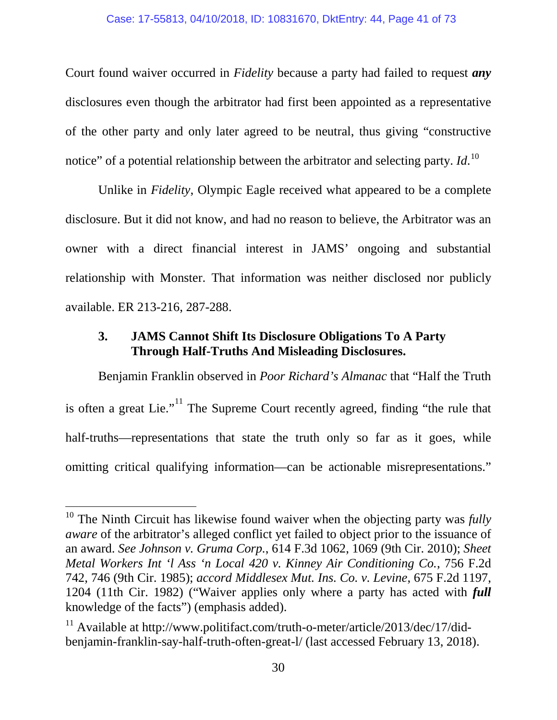Court found waiver occurred in *Fidelity* because a party had failed to request *any* disclosures even though the arbitrator had first been appointed as a representative of the other party and only later agreed to be neutral, thus giving "constructive notice" of a potential relationship between the arbitrator and selecting party. *Id*. 10

Unlike in *Fidelity*, Olympic Eagle received what appeared to be a complete disclosure. But it did not know, and had no reason to believe, the Arbitrator was an owner with a direct financial interest in JAMS' ongoing and substantial relationship with Monster. That information was neither disclosed nor publicly available. ER 213-216, 287-288.

### **3. JAMS Cannot Shift Its Disclosure Obligations To A Party Through Half-Truths And Misleading Disclosures.**

Benjamin Franklin observed in *Poor Richard's Almanac* that "Half the Truth is often a great Lie."<sup>11</sup> The Supreme Court recently agreed, finding "the rule that half-truths—representations that state the truth only so far as it goes, while omitting critical qualifying information—can be actionable misrepresentations."

<sup>&</sup>lt;sup>10</sup> The Ninth Circuit has likewise found waiver when the objecting party was *fully aware* of the arbitrator's alleged conflict yet failed to object prior to the issuance of an award. *See Johnson v. Gruma Corp.*, 614 F.3d 1062, 1069 (9th Cir. 2010); *Sheet Metal Workers Int 'l Ass 'n Local 420 v. Kinney Air Conditioning Co.*, 756 F.2d 742, 746 (9th Cir. 1985); *accord Middlesex Mut. Ins. Co. v. Levine*, 675 F.2d 1197, 1204 (11th Cir. 1982) ("Waiver applies only where a party has acted with *full* knowledge of the facts") (emphasis added).

<sup>&</sup>lt;sup>11</sup> Available at http://www.politifact.com/truth-o-meter/article/2013/dec/17/didbenjamin-franklin-say-half-truth-often-great-l/ (last accessed February 13, 2018).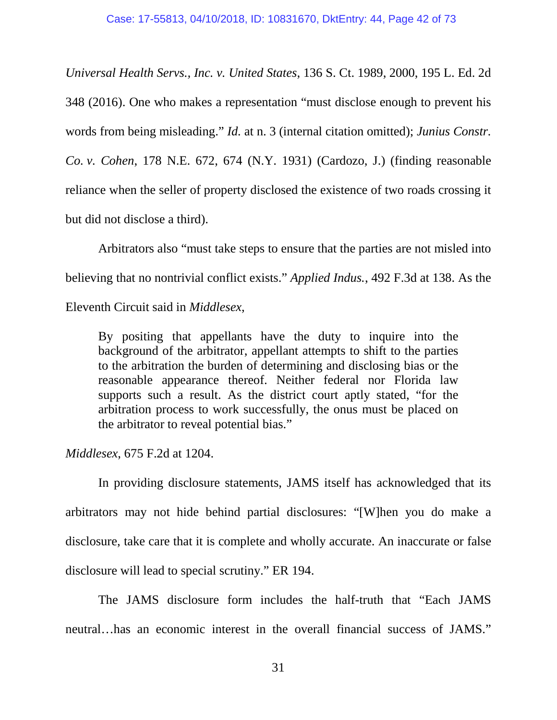*Universal Health Servs., Inc. v. United States*, 136 S. Ct. 1989, 2000, 195 L. Ed. 2d 348 (2016). One who makes a representation "must disclose enough to prevent his words from being misleading." *Id.* at n. 3 (internal citation omitted); *Junius Constr. Co. v. Cohen*, 178 N.E. 672, 674 (N.Y. 1931) (Cardozo, J.) (finding reasonable reliance when the seller of property disclosed the existence of two roads crossing it but did not disclose a third).

Arbitrators also "must take steps to ensure that the parties are not misled into believing that no nontrivial conflict exists." *Applied Indus.*, 492 F.3d at 138. As the Eleventh Circuit said in *Middlesex*,

By positing that appellants have the duty to inquire into the background of the arbitrator, appellant attempts to shift to the parties to the arbitration the burden of determining and disclosing bias or the reasonable appearance thereof. Neither federal nor Florida law supports such a result. As the district court aptly stated, "for the arbitration process to work successfully, the onus must be placed on the arbitrator to reveal potential bias."

*Middlesex*, 675 F.2d at 1204.

In providing disclosure statements, JAMS itself has acknowledged that its arbitrators may not hide behind partial disclosures: "[W]hen you do make a disclosure, take care that it is complete and wholly accurate. An inaccurate or false disclosure will lead to special scrutiny." ER 194.

The JAMS disclosure form includes the half-truth that "Each JAMS neutral…has an economic interest in the overall financial success of JAMS."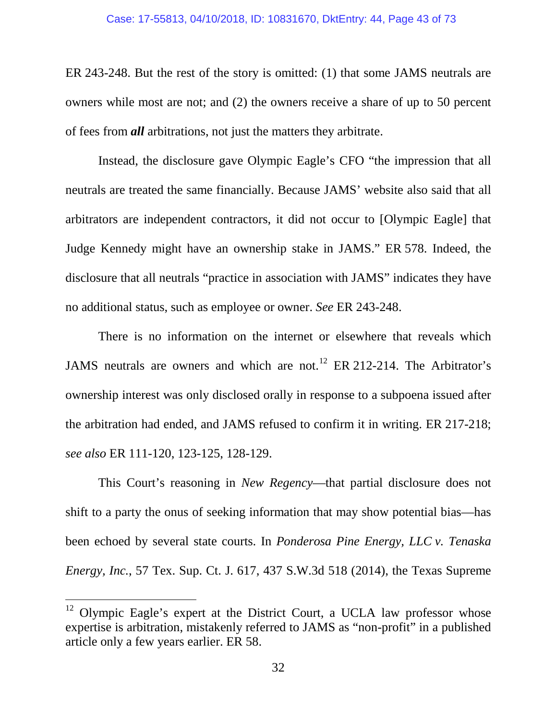ER 243-248. But the rest of the story is omitted: (1) that some JAMS neutrals are owners while most are not; and (2) the owners receive a share of up to 50 percent of fees from *all* arbitrations, not just the matters they arbitrate.

Instead, the disclosure gave Olympic Eagle's CFO "the impression that all neutrals are treated the same financially. Because JAMS' website also said that all arbitrators are independent contractors, it did not occur to [Olympic Eagle] that Judge Kennedy might have an ownership stake in JAMS." ER 578. Indeed, the disclosure that all neutrals "practice in association with JAMS" indicates they have no additional status, such as employee or owner. *See* ER 243-248.

There is no information on the internet or elsewhere that reveals which JAMS neutrals are owners and which are not.<sup>12</sup> ER 212-214. The Arbitrator's ownership interest was only disclosed orally in response to a subpoena issued after the arbitration had ended, and JAMS refused to confirm it in writing. ER 217-218; *see also* ER 111-120, 123-125, 128-129.

This Court's reasoning in *New Regency*—that partial disclosure does not shift to a party the onus of seeking information that may show potential bias—has been echoed by several state courts. In *Ponderosa Pine Energy, LLC v. Tenaska Energy, Inc.*, 57 Tex. Sup. Ct. J. 617, 437 S.W.3d 518 (2014), the Texas Supreme

<sup>&</sup>lt;sup>12</sup> Olympic Eagle's expert at the District Court, a UCLA law professor whose expertise is arbitration, mistakenly referred to JAMS as "non-profit" in a published article only a few years earlier. ER 58.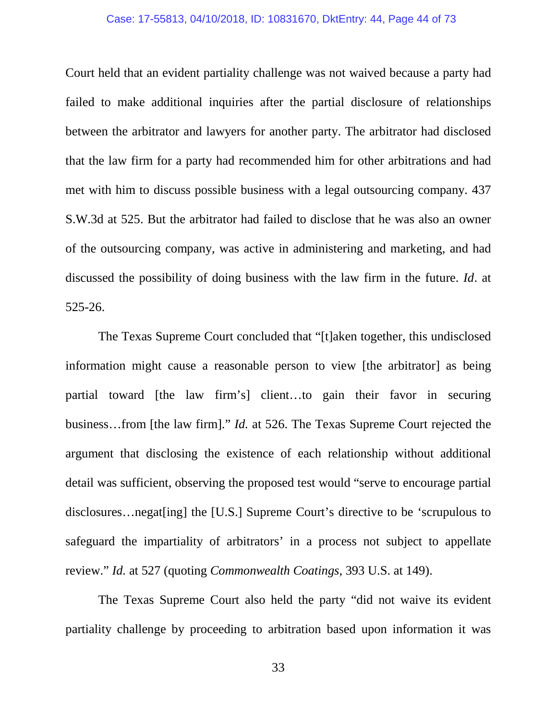#### Case: 17-55813, 04/10/2018, ID: 10831670, DktEntry: 44, Page 44 of 73

Court held that an evident partiality challenge was not waived because a party had failed to make additional inquiries after the partial disclosure of relationships between the arbitrator and lawyers for another party. The arbitrator had disclosed that the law firm for a party had recommended him for other arbitrations and had met with him to discuss possible business with a legal outsourcing company. 437 S.W.3d at 525. But the arbitrator had failed to disclose that he was also an owner of the outsourcing company, was active in administering and marketing, and had discussed the possibility of doing business with the law firm in the future. *Id*. at 525-26.

The Texas Supreme Court concluded that "[t]aken together, this undisclosed information might cause a reasonable person to view [the arbitrator] as being partial toward [the law firm's] client…to gain their favor in securing business…from [the law firm]." *Id.* at 526. The Texas Supreme Court rejected the argument that disclosing the existence of each relationship without additional detail was sufficient, observing the proposed test would "serve to encourage partial disclosures…negat[ing] the [U.S.] Supreme Court's directive to be 'scrupulous to safeguard the impartiality of arbitrators' in a process not subject to appellate review." *Id.* at 527 (quoting *Commonwealth Coatings*, 393 U.S. at 149).

The Texas Supreme Court also held the party "did not waive its evident partiality challenge by proceeding to arbitration based upon information it was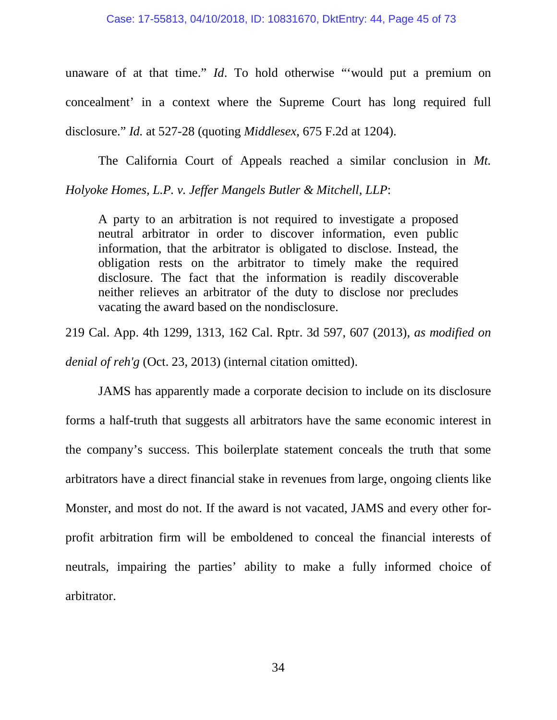unaware of at that time." *Id*. To hold otherwise "'would put a premium on concealment' in a context where the Supreme Court has long required full disclosure." *Id.* at 527-28 (quoting *Middlesex*, 675 F.2d at 1204).

The California Court of Appeals reached a similar conclusion in *Mt. Holyoke Homes, L.P. v. Jeffer Mangels Butler & Mitchell, LLP*:

A party to an arbitration is not required to investigate a proposed neutral arbitrator in order to discover information, even public information, that the arbitrator is obligated to disclose. Instead, the obligation rests on the arbitrator to timely make the required disclosure. The fact that the information is readily discoverable neither relieves an arbitrator of the duty to disclose nor precludes vacating the award based on the nondisclosure.

219 Cal. App. 4th 1299, 1313, 162 Cal. Rptr. 3d 597, 607 (2013), *as modified on denial of reh'g* (Oct. 23, 2013) (internal citation omitted).

JAMS has apparently made a corporate decision to include on its disclosure forms a half-truth that suggests all arbitrators have the same economic interest in the company's success. This boilerplate statement conceals the truth that some arbitrators have a direct financial stake in revenues from large, ongoing clients like Monster, and most do not. If the award is not vacated, JAMS and every other forprofit arbitration firm will be emboldened to conceal the financial interests of neutrals, impairing the parties' ability to make a fully informed choice of arbitrator.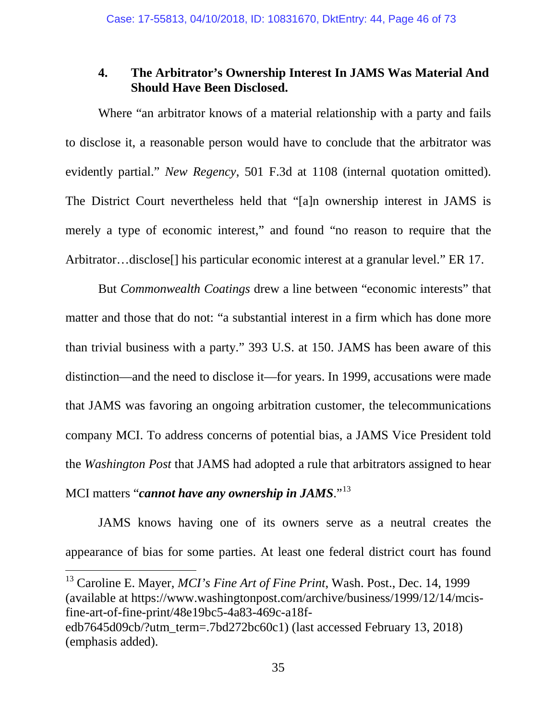### **4. The Arbitrator's Ownership Interest In JAMS Was Material And Should Have Been Disclosed.**

Where "an arbitrator knows of a material relationship with a party and fails to disclose it, a reasonable person would have to conclude that the arbitrator was evidently partial." *New Regency*, 501 F.3d at 1108 (internal quotation omitted). The District Court nevertheless held that "[a]n ownership interest in JAMS is merely a type of economic interest," and found "no reason to require that the Arbitrator…disclose<sup>[]</sup> his particular economic interest at a granular level." ER 17.

But *Commonwealth Coatings* drew a line between "economic interests" that matter and those that do not: "a substantial interest in a firm which has done more than trivial business with a party." 393 U.S. at 150. JAMS has been aware of this distinction—and the need to disclose it—for years. In 1999, accusations were made that JAMS was favoring an ongoing arbitration customer, the telecommunications company MCI. To address concerns of potential bias, a JAMS Vice President told the *Washington Post* that JAMS had adopted a rule that arbitrators assigned to hear MCI matters "*cannot have any ownership in JAMS*."<sup>13</sup>

JAMS knows having one of its owners serve as a neutral creates the appearance of bias for some parties. At least one federal district court has found

 13 Caroline E. Mayer, *MCI's Fine Art of Fine Print*, Wash. Post., Dec. 14, 1999 (available at https://www.washingtonpost.com/archive/business/1999/12/14/mcisfine-art-of-fine-print/48e19bc5-4a83-469c-a18fedb7645d09cb/?utm\_term=.7bd272bc60c1) (last accessed February 13, 2018) (emphasis added).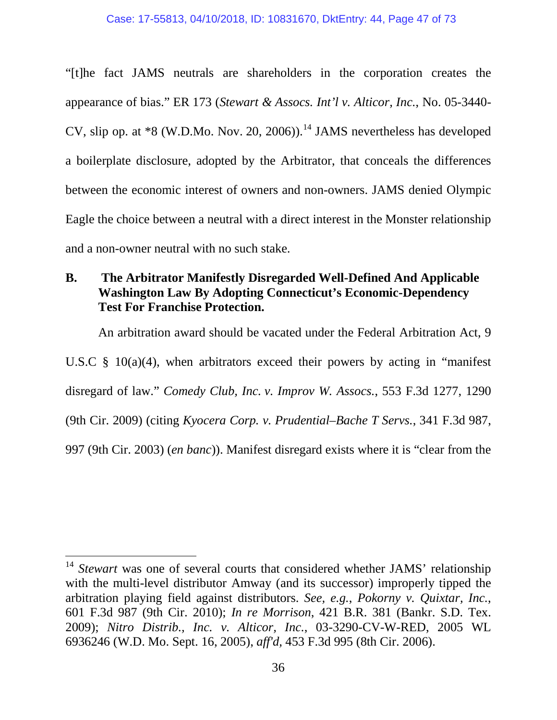"[t]he fact JAMS neutrals are shareholders in the corporation creates the appearance of bias." ER 173 (*Stewart & Assocs. Int'l v. Alticor, Inc.*, No. 05-3440- CV, slip op. at  $*8$  (W.D.Mo. Nov. 20, 2006)).<sup>14</sup> JAMS nevertheless has developed a boilerplate disclosure, adopted by the Arbitrator, that conceals the differences between the economic interest of owners and non-owners. JAMS denied Olympic Eagle the choice between a neutral with a direct interest in the Monster relationship and a non-owner neutral with no such stake.

### **B. The Arbitrator Manifestly Disregarded Well-Defined And Applicable Washington Law By Adopting Connecticut's Economic-Dependency Test For Franchise Protection.**

An arbitration award should be vacated under the Federal Arbitration Act, 9 U.S.C  $\S$  10(a)(4), when arbitrators exceed their powers by acting in "manifest" disregard of law." *Comedy Club, Inc. v. Improv W. Assocs.*, 553 F.3d 1277, 1290 (9th Cir. 2009) (citing *Kyocera Corp. v. Prudential–Bache T Servs.*, 341 F.3d 987, 997 (9th Cir. 2003) (*en banc*)). Manifest disregard exists where it is "clear from the

<sup>&</sup>lt;sup>14</sup> *Stewart* was one of several courts that considered whether JAMS' relationship with the multi-level distributor Amway (and its successor) improperly tipped the arbitration playing field against distributors. *See, e.g.*, *Pokorny v. Quixtar, Inc.*, 601 F.3d 987 (9th Cir. 2010); *In re Morrison*, 421 B.R. 381 (Bankr. S.D. Tex. 2009); *Nitro Distrib., Inc. v. Alticor, Inc.*, 03-3290-CV-W-RED, 2005 WL 6936246 (W.D. Mo. Sept. 16, 2005), *aff'd,* 453 F.3d 995 (8th Cir. 2006).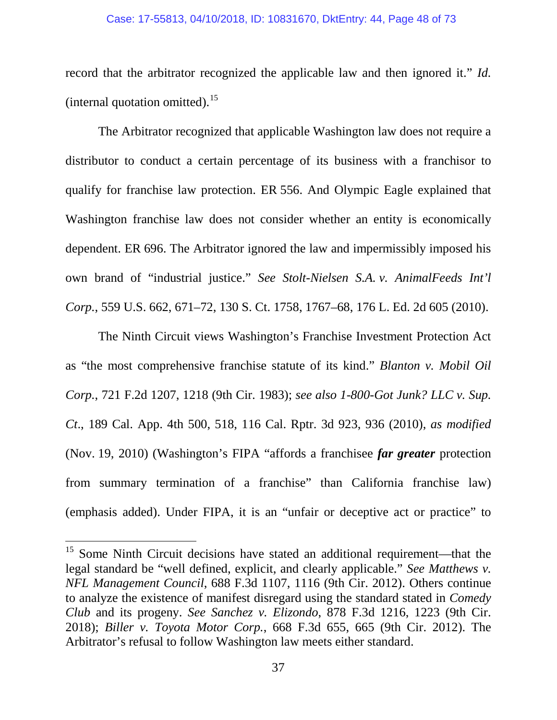#### Case: 17-55813, 04/10/2018, ID: 10831670, DktEntry: 44, Page 48 of 73

record that the arbitrator recognized the applicable law and then ignored it." *Id.* (internal quotation omitted). $^{15}$ 

The Arbitrator recognized that applicable Washington law does not require a distributor to conduct a certain percentage of its business with a franchisor to qualify for franchise law protection. ER 556. And Olympic Eagle explained that Washington franchise law does not consider whether an entity is economically dependent. ER 696. The Arbitrator ignored the law and impermissibly imposed his own brand of "industrial justice." *See Stolt-Nielsen S.A. v. AnimalFeeds Int'l Corp.*, 559 U.S. 662, 671–72, 130 S. Ct. 1758, 1767–68, 176 L. Ed. 2d 605 (2010).

The Ninth Circuit views Washington's Franchise Investment Protection Act as "the most comprehensive franchise statute of its kind." *Blanton v. Mobil Oil Corp.*, 721 F.2d 1207, 1218 (9th Cir. 1983); *see also 1-800-Got Junk? LLC v. Sup. Ct*., 189 Cal. App. 4th 500, 518, 116 Cal. Rptr. 3d 923, 936 (2010), *as modified* (Nov. 19, 2010) (Washington's FIPA "affords a franchisee *far greater* protection from summary termination of a franchise" than California franchise law) (emphasis added). Under FIPA, it is an "unfair or deceptive act or practice" to

<sup>&</sup>lt;sup>15</sup> Some Ninth Circuit decisions have stated an additional requirement—that the legal standard be "well defined, explicit, and clearly applicable." *See Matthews v. NFL Management Council*, 688 F.3d 1107, 1116 (9th Cir. 2012). Others continue to analyze the existence of manifest disregard using the standard stated in *Comedy Club* and its progeny. *See Sanchez v. Elizondo*, 878 F.3d 1216, 1223 (9th Cir. 2018); *Biller v. Toyota Motor Corp.*, 668 F.3d 655, 665 (9th Cir. 2012). The Arbitrator's refusal to follow Washington law meets either standard.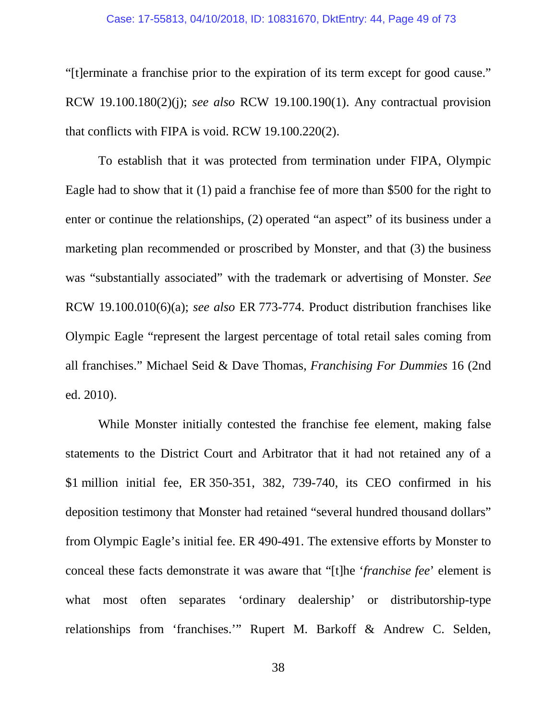#### Case: 17-55813, 04/10/2018, ID: 10831670, DktEntry: 44, Page 49 of 73

"[t]erminate a franchise prior to the expiration of its term except for good cause." RCW 19.100.180(2)(j); *see also* RCW 19.100.190(1). Any contractual provision that conflicts with FIPA is void. RCW 19.100.220(2).

To establish that it was protected from termination under FIPA, Olympic Eagle had to show that it (1) paid a franchise fee of more than \$500 for the right to enter or continue the relationships, (2) operated "an aspect" of its business under a marketing plan recommended or proscribed by Monster, and that (3) the business was "substantially associated" with the trademark or advertising of Monster. *See*  RCW 19.100.010(6)(a); *see also* ER 773-774. Product distribution franchises like Olympic Eagle "represent the largest percentage of total retail sales coming from all franchises." Michael Seid & Dave Thomas, *Franchising For Dummies* 16 (2nd ed. 2010).

While Monster initially contested the franchise fee element, making false statements to the District Court and Arbitrator that it had not retained any of a \$1 million initial fee, ER 350-351, 382, 739-740, its CEO confirmed in his deposition testimony that Monster had retained "several hundred thousand dollars" from Olympic Eagle's initial fee. ER 490-491. The extensive efforts by Monster to conceal these facts demonstrate it was aware that "[t]he '*franchise fee*' element is what most often separates 'ordinary dealership' or distributorship-type relationships from 'franchises.'" Rupert M. Barkoff & Andrew C. Selden,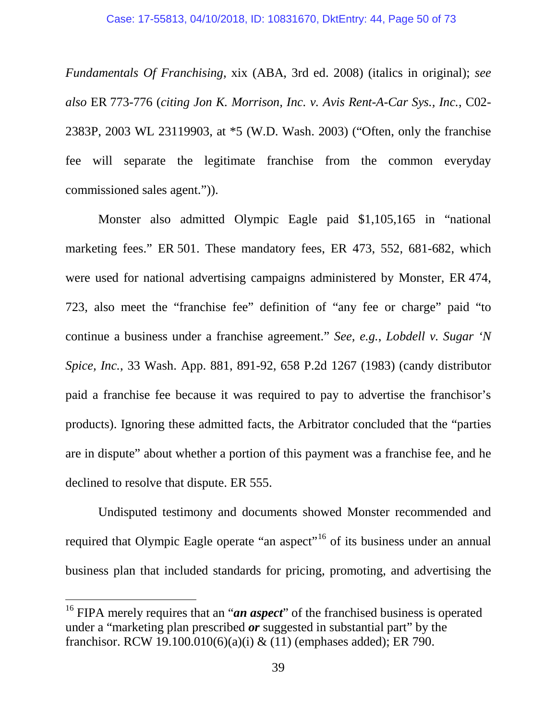*Fundamentals Of Franchising*, xix (ABA, 3rd ed. 2008) (italics in original); *see also* ER 773-776 (*citing Jon K. Morrison, Inc. v. Avis Rent-A-Car Sys., Inc.*, C02- 2383P, 2003 WL 23119903, at \*5 (W.D. Wash. 2003) ("Often, only the franchise fee will separate the legitimate franchise from the common everyday commissioned sales agent.")).

Monster also admitted Olympic Eagle paid \$1,105,165 in "national marketing fees." ER 501. These mandatory fees, ER 473, 552, 681-682, which were used for national advertising campaigns administered by Monster, ER 474, 723, also meet the "franchise fee" definition of "any fee or charge" paid "to continue a business under a franchise agreement." *See, e.g.*, *Lobdell v. Sugar 'N Spice, Inc.*, 33 Wash. App. 881, 891-92, 658 P.2d 1267 (1983) (candy distributor paid a franchise fee because it was required to pay to advertise the franchisor's products). Ignoring these admitted facts, the Arbitrator concluded that the "parties are in dispute" about whether a portion of this payment was a franchise fee, and he declined to resolve that dispute. ER 555.

Undisputed testimony and documents showed Monster recommended and required that Olympic Eagle operate "an aspect"<sup>16</sup> of its business under an annual business plan that included standards for pricing, promoting, and advertising the

<sup>&</sup>lt;sup>16</sup> FIPA merely requires that an "*an aspect*" of the franchised business is operated under a "marketing plan prescribed *or* suggested in substantial part" by the franchisor. RCW 19.100.010(6)(a)(i) & (11) (emphases added); ER 790.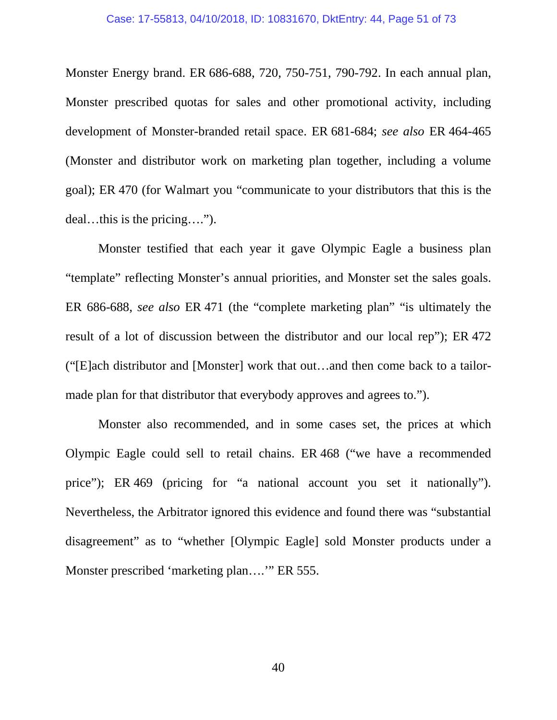Monster Energy brand. ER 686-688, 720, 750-751, 790-792. In each annual plan, Monster prescribed quotas for sales and other promotional activity, including development of Monster-branded retail space. ER 681-684; *see also* ER 464-465 (Monster and distributor work on marketing plan together, including a volume goal); ER 470 (for Walmart you "communicate to your distributors that this is the deal…this is the pricing….").

Monster testified that each year it gave Olympic Eagle a business plan "template" reflecting Monster's annual priorities, and Monster set the sales goals. ER 686-688, *see also* ER 471 (the "complete marketing plan" "is ultimately the result of a lot of discussion between the distributor and our local rep"); ER 472 ("[E]ach distributor and [Monster] work that out…and then come back to a tailormade plan for that distributor that everybody approves and agrees to.").

Monster also recommended, and in some cases set, the prices at which Olympic Eagle could sell to retail chains. ER 468 ("we have a recommended price"); ER 469 (pricing for "a national account you set it nationally"). Nevertheless, the Arbitrator ignored this evidence and found there was "substantial disagreement" as to "whether [Olympic Eagle] sold Monster products under a Monster prescribed 'marketing plan….'" ER 555.

40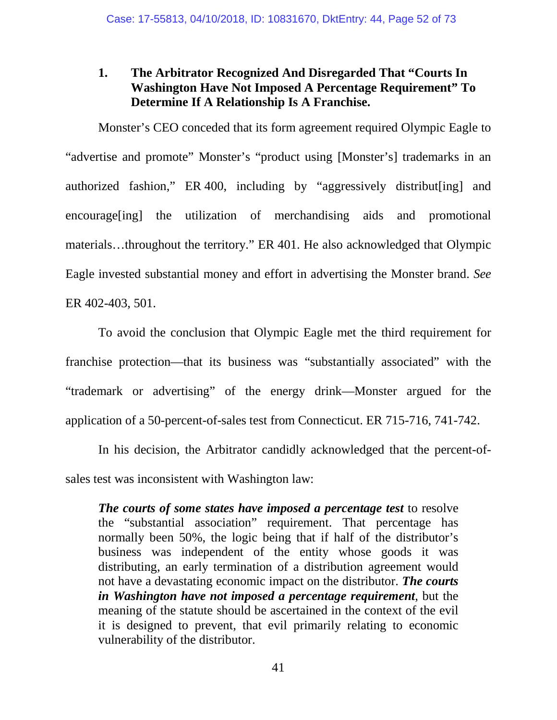# **1. The Arbitrator Recognized And Disregarded That "Courts In Washington Have Not Imposed A Percentage Requirement" To Determine If A Relationship Is A Franchise.**

Monster's CEO conceded that its form agreement required Olympic Eagle to "advertise and promote" Monster's "product using [Monster's] trademarks in an authorized fashion," ER 400, including by "aggressively distribut[ing] and encourage[ing] the utilization of merchandising aids and promotional materials…throughout the territory." ER 401. He also acknowledged that Olympic Eagle invested substantial money and effort in advertising the Monster brand. *See* ER 402-403, 501.

To avoid the conclusion that Olympic Eagle met the third requirement for franchise protection—that its business was "substantially associated" with the "trademark or advertising" of the energy drink—Monster argued for the application of a 50-percent-of-sales test from Connecticut. ER 715-716, 741-742.

In his decision, the Arbitrator candidly acknowledged that the percent-ofsales test was inconsistent with Washington law:

*The courts of some states have imposed a percentage test* to resolve the "substantial association" requirement. That percentage has normally been 50%, the logic being that if half of the distributor's business was independent of the entity whose goods it was distributing, an early termination of a distribution agreement would not have a devastating economic impact on the distributor. *The courts in Washington have not imposed a percentage requirement*, but the meaning of the statute should be ascertained in the context of the evil it is designed to prevent, that evil primarily relating to economic vulnerability of the distributor.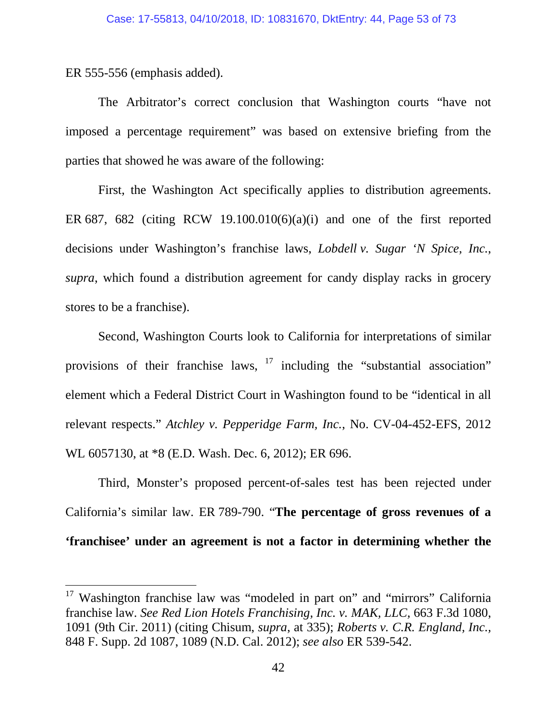ER 555-556 (emphasis added).

The Arbitrator's correct conclusion that Washington courts "have not imposed a percentage requirement" was based on extensive briefing from the parties that showed he was aware of the following:

First, the Washington Act specifically applies to distribution agreements. ER 687, 682 (citing RCW 19.100.010(6)(a)(i) and one of the first reported decisions under Washington's franchise laws, *Lobdell v. Sugar 'N Spice, Inc.*, *supra*, which found a distribution agreement for candy display racks in grocery stores to be a franchise).

Second, Washington Courts look to California for interpretations of similar provisions of their franchise laws,  $17$  including the "substantial association" element which a Federal District Court in Washington found to be "identical in all relevant respects." *Atchley v. Pepperidge Farm, Inc.*, No. CV-04-452-EFS, 2012 WL 6057130, at \*8 (E.D. Wash. Dec. 6, 2012); ER 696.

Third, Monster's proposed percent-of-sales test has been rejected under California's similar law. ER 789-790. "**The percentage of gross revenues of a 'franchisee' under an agreement is not a factor in determining whether the** 

<sup>&</sup>lt;sup>17</sup> Washington franchise law was "modeled in part on" and "mirrors" California franchise law. *See Red Lion Hotels Franchising, Inc. v. MAK, LLC,* 663 F.3d 1080, 1091 (9th Cir. 2011) (citing Chisum, *supra*, at 335); *Roberts v. C.R. England, Inc.,* 848 F. Supp. 2d 1087, 1089 (N.D. Cal. 2012); *see also* ER 539-542.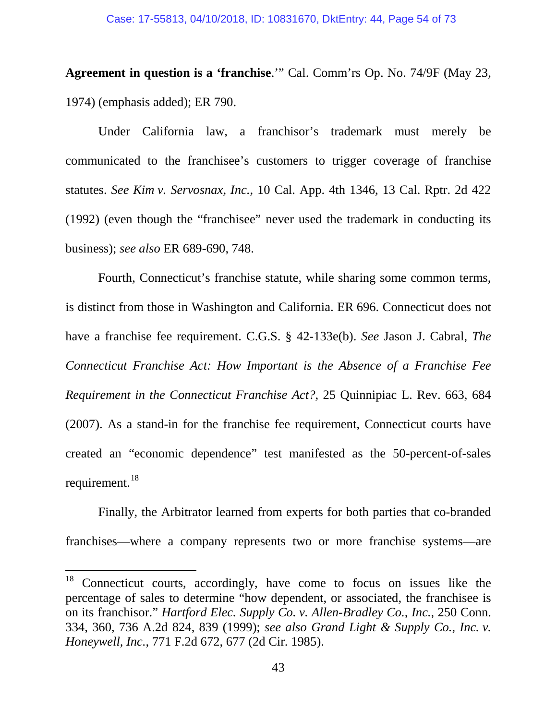#### Case: 17-55813, 04/10/2018, ID: 10831670, DktEntry: 44, Page 54 of 73

**Agreement in question is a 'franchise**.'" Cal. Comm'rs Op. No. 74/9F (May 23, 1974) (emphasis added); ER 790.

Under California law, a franchisor's trademark must merely be communicated to the franchisee's customers to trigger coverage of franchise statutes. *See Kim v. Servosnax, Inc.*, 10 Cal. App. 4th 1346, 13 Cal. Rptr. 2d 422 (1992) (even though the "franchisee" never used the trademark in conducting its business); *see also* ER 689-690, 748.

Fourth, Connecticut's franchise statute, while sharing some common terms, is distinct from those in Washington and California. ER 696. Connecticut does not have a franchise fee requirement. C.G.S. § 42-133e(b). *See* Jason J. Cabral, *The Connecticut Franchise Act: How Important is the Absence of a Franchise Fee Requirement in the Connecticut Franchise Act?*, 25 Quinnipiac L. Rev. 663, 684 (2007). As a stand-in for the franchise fee requirement, Connecticut courts have created an "economic dependence" test manifested as the 50-percent-of-sales requirement.<sup>18</sup>

Finally, the Arbitrator learned from experts for both parties that co-branded franchises—where a company represents two or more franchise systems—are

<sup>&</sup>lt;sup>18</sup> Connecticut courts, accordingly, have come to focus on issues like the percentage of sales to determine "how dependent, or associated, the franchisee is on its franchisor." *Hartford Elec. Supply Co. v. Allen-Bradley Co., Inc.*, 250 Conn. 334, 360, 736 A.2d 824, 839 (1999); *see also Grand Light & Supply Co., Inc. v. Honeywell, Inc.*, 771 F.2d 672, 677 (2d Cir. 1985).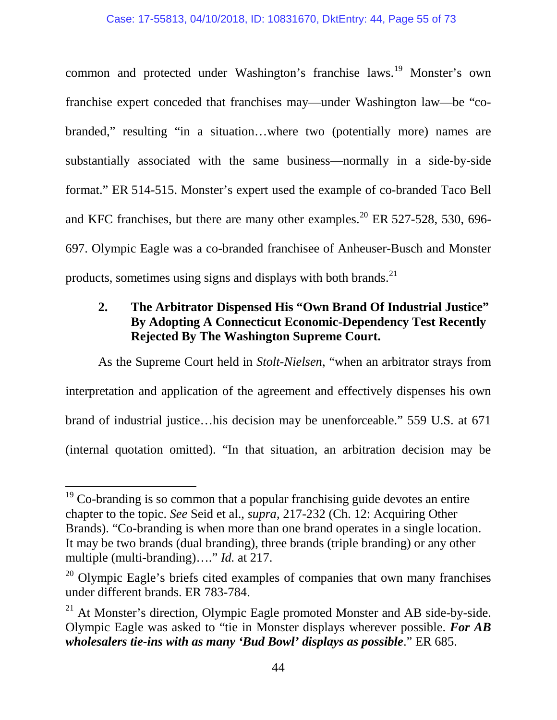common and protected under Washington's franchise laws.<sup>19</sup> Monster's own franchise expert conceded that franchises may—under Washington law—be "cobranded," resulting "in a situation…where two (potentially more) names are substantially associated with the same business—normally in a side-by-side format." ER 514-515. Monster's expert used the example of co-branded Taco Bell and KFC franchises, but there are many other examples.<sup>20</sup> ER 527-528, 530, 696-697. Olympic Eagle was a co-branded franchisee of Anheuser-Busch and Monster products, sometimes using signs and displays with both brands. $^{21}$ 

# **2. The Arbitrator Dispensed His "Own Brand Of Industrial Justice" By Adopting A Connecticut Economic-Dependency Test Recently Rejected By The Washington Supreme Court.**

As the Supreme Court held in *Stolt-Nielsen*, "when an arbitrator strays from interpretation and application of the agreement and effectively dispenses his own brand of industrial justice…his decision may be unenforceable." 559 U.S. at 671 (internal quotation omitted). "In that situation, an arbitration decision may be

 $19$  Co-branding is so common that a popular franchising guide devotes an entire chapter to the topic. *See* Seid et al., *supra*, 217-232 (Ch. 12: Acquiring Other Brands). "Co-branding is when more than one brand operates in a single location. It may be two brands (dual branding), three brands (triple branding) or any other multiple (multi-branding)…." *Id.* at 217.

 $20$  Olympic Eagle's briefs cited examples of companies that own many franchises under different brands. ER 783-784.

 $^{21}$  At Monster's direction, Olympic Eagle promoted Monster and AB side-by-side. Olympic Eagle was asked to "tie in Monster displays wherever possible. *For AB wholesalers tie-ins with as many 'Bud Bowl' displays as possible*." ER 685.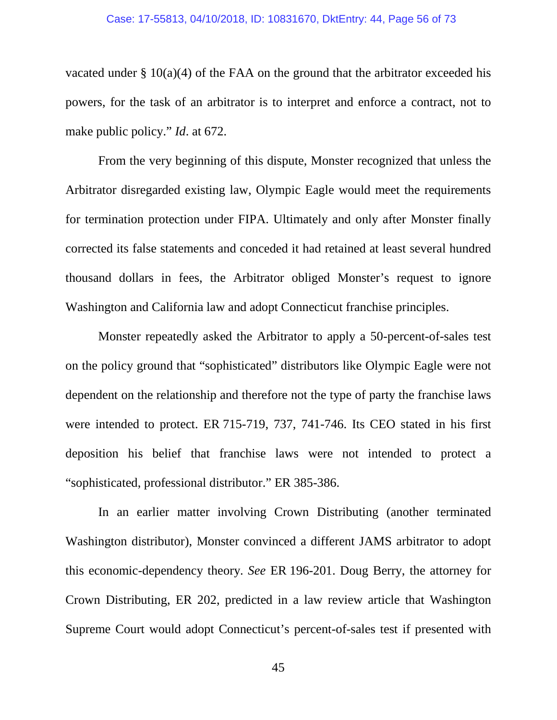#### Case: 17-55813, 04/10/2018, ID: 10831670, DktEntry: 44, Page 56 of 73

vacated under  $\S 10(a)(4)$  of the FAA on the ground that the arbitrator exceeded his powers, for the task of an arbitrator is to interpret and enforce a contract, not to make public policy." *Id*. at 672.

From the very beginning of this dispute, Monster recognized that unless the Arbitrator disregarded existing law, Olympic Eagle would meet the requirements for termination protection under FIPA. Ultimately and only after Monster finally corrected its false statements and conceded it had retained at least several hundred thousand dollars in fees, the Arbitrator obliged Monster's request to ignore Washington and California law and adopt Connecticut franchise principles.

Monster repeatedly asked the Arbitrator to apply a 50-percent-of-sales test on the policy ground that "sophisticated" distributors like Olympic Eagle were not dependent on the relationship and therefore not the type of party the franchise laws were intended to protect. ER 715-719, 737, 741-746. Its CEO stated in his first deposition his belief that franchise laws were not intended to protect a "sophisticated, professional distributor." ER 385-386.

In an earlier matter involving Crown Distributing (another terminated Washington distributor), Monster convinced a different JAMS arbitrator to adopt this economic-dependency theory. *See* ER 196-201. Doug Berry, the attorney for Crown Distributing, ER 202, predicted in a law review article that Washington Supreme Court would adopt Connecticut's percent-of-sales test if presented with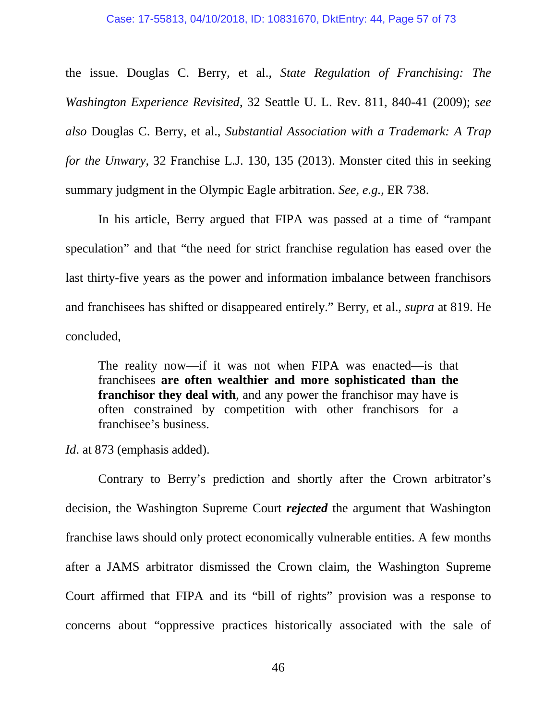the issue. Douglas C. Berry, et al., *State Regulation of Franchising: The Washington Experience Revisited*, 32 Seattle U. L. Rev. 811, 840-41 (2009); *see also* Douglas C. Berry, et al., *Substantial Association with a Trademark: A Trap for the Unwary*, 32 Franchise L.J. 130, 135 (2013). Monster cited this in seeking summary judgment in the Olympic Eagle arbitration. *See, e.g.*, ER 738.

In his article, Berry argued that FIPA was passed at a time of "rampant speculation" and that "the need for strict franchise regulation has eased over the last thirty-five years as the power and information imbalance between franchisors and franchisees has shifted or disappeared entirely." Berry, et al., *supra* at 819. He concluded,

The reality now—if it was not when FIPA was enacted—is that franchisees **are often wealthier and more sophisticated than the franchisor they deal with**, and any power the franchisor may have is often constrained by competition with other franchisors for a franchisee's business.

*Id*. at 873 (emphasis added).

Contrary to Berry's prediction and shortly after the Crown arbitrator's decision, the Washington Supreme Court *rejected* the argument that Washington franchise laws should only protect economically vulnerable entities. A few months after a JAMS arbitrator dismissed the Crown claim, the Washington Supreme Court affirmed that FIPA and its "bill of rights" provision was a response to concerns about "oppressive practices historically associated with the sale of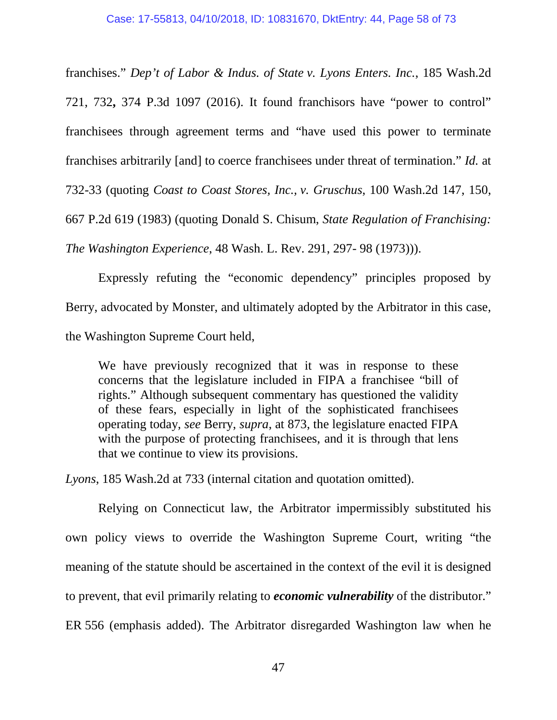franchises." *Dep't of Labor & Indus. of State v. Lyons Enters. Inc.*, 185 Wash.2d 721, 732**,** 374 P.3d 1097 (2016). It found franchisors have "power to control" franchisees through agreement terms and "have used this power to terminate franchises arbitrarily [and] to coerce franchisees under threat of termination." *Id.* at 732-33 (quoting *Coast to Coast Stores, Inc., v. Gruschus*, 100 Wash.2d 147, 150, 667 P.2d 619 (1983) (quoting Donald S. Chisum, *State Regulation of Franchising: The Washington Experience*, 48 Wash. L. Rev. 291, 297- 98 (1973))).

Expressly refuting the "economic dependency" principles proposed by Berry, advocated by Monster, and ultimately adopted by the Arbitrator in this case, the Washington Supreme Court held,

We have previously recognized that it was in response to these concerns that the legislature included in FIPA a franchisee "bill of rights." Although subsequent commentary has questioned the validity of these fears, especially in light of the sophisticated franchisees operating today, *see* Berry, *supra*, at 873, the legislature enacted FIPA with the purpose of protecting franchisees, and it is through that lens that we continue to view its provisions.

*Lyons*, 185 Wash.2d at 733 (internal citation and quotation omitted).

Relying on Connecticut law, the Arbitrator impermissibly substituted his own policy views to override the Washington Supreme Court, writing "the meaning of the statute should be ascertained in the context of the evil it is designed to prevent, that evil primarily relating to *economic vulnerability* of the distributor." ER 556 (emphasis added). The Arbitrator disregarded Washington law when he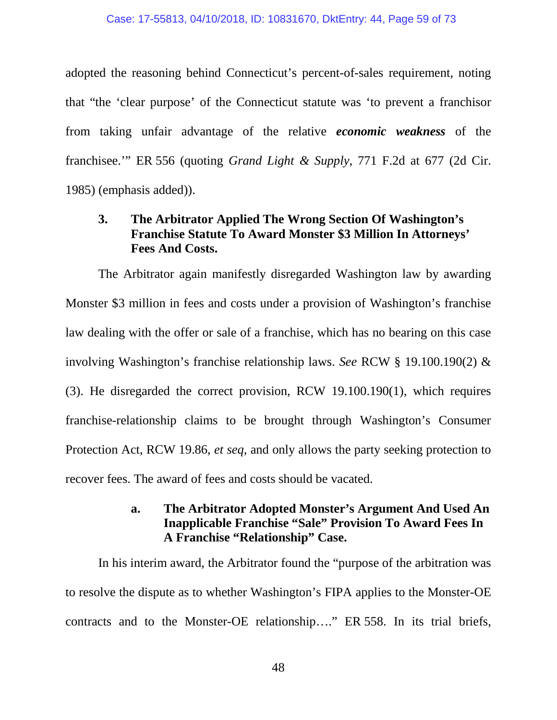adopted the reasoning behind Connecticut's percent-of-sales requirement, noting that "the 'clear purpose' of the Connecticut statute was 'to prevent a franchisor from taking unfair advantage of the relative *economic weakness* of the franchisee.'" ER 556 (quoting *Grand Light & Supply*, 771 F.2d at 677 (2d Cir. 1985) (emphasis added)).

## **3. The Arbitrator Applied The Wrong Section Of Washington's Franchise Statute To Award Monster \$3 Million In Attorneys' Fees And Costs.**

The Arbitrator again manifestly disregarded Washington law by awarding Monster \$3 million in fees and costs under a provision of Washington's franchise law dealing with the offer or sale of a franchise, which has no bearing on this case involving Washington's franchise relationship laws. *See* RCW § 19.100.190(2) & (3). He disregarded the correct provision, RCW 19.100.190(1), which requires franchise-relationship claims to be brought through Washington's Consumer Protection Act, RCW 19.86, *et seq*, and only allows the party seeking protection to recover fees. The award of fees and costs should be vacated.

## **a. The Arbitrator Adopted Monster's Argument And Used An Inapplicable Franchise "Sale" Provision To Award Fees In A Franchise "Relationship" Case.**

In his interim award, the Arbitrator found the "purpose of the arbitration was to resolve the dispute as to whether Washington's FIPA applies to the Monster-OE contracts and to the Monster-OE relationship…." ER 558. In its trial briefs,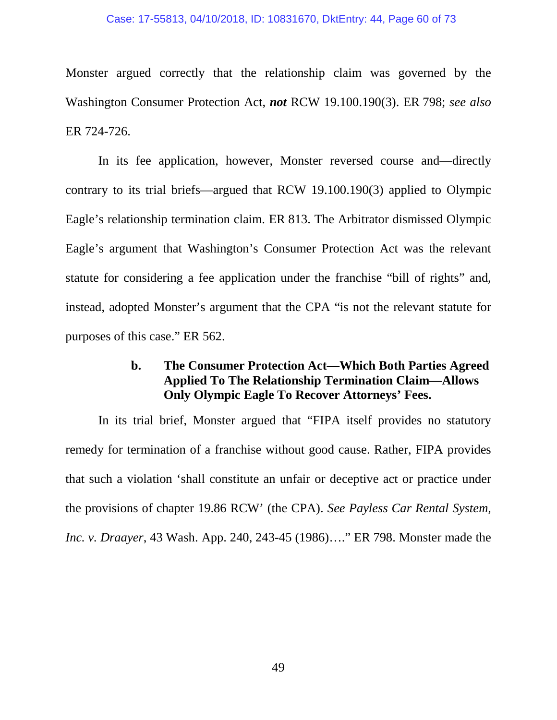#### Case: 17-55813, 04/10/2018, ID: 10831670, DktEntry: 44, Page 60 of 73

Monster argued correctly that the relationship claim was governed by the Washington Consumer Protection Act, *not* RCW 19.100.190(3). ER 798; *see also*  ER 724-726.

In its fee application, however, Monster reversed course and—directly contrary to its trial briefs—argued that RCW 19.100.190(3) applied to Olympic Eagle's relationship termination claim. ER 813. The Arbitrator dismissed Olympic Eagle's argument that Washington's Consumer Protection Act was the relevant statute for considering a fee application under the franchise "bill of rights" and, instead, adopted Monster's argument that the CPA "is not the relevant statute for purposes of this case." ER 562.

### **b. The Consumer Protection Act—Which Both Parties Agreed Applied To The Relationship Termination Claim—Allows Only Olympic Eagle To Recover Attorneys' Fees.**

In its trial brief, Monster argued that "FIPA itself provides no statutory remedy for termination of a franchise without good cause. Rather, FIPA provides that such a violation 'shall constitute an unfair or deceptive act or practice under the provisions of chapter 19.86 RCW' (the CPA). *See Payless Car Rental System, Inc. v. Draayer*, 43 Wash. App. 240, 243-45 (1986)…." ER 798. Monster made the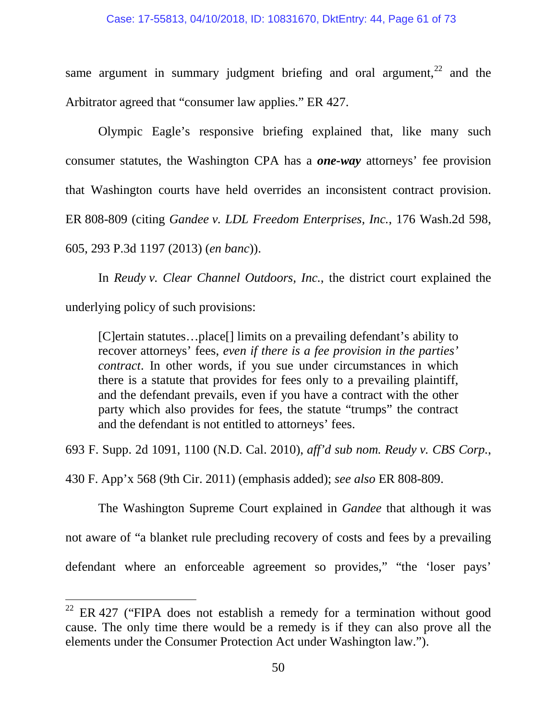#### Case: 17-55813, 04/10/2018, ID: 10831670, DktEntry: 44, Page 61 of 73

same argument in summary judgment briefing and oral argument,  $22$  and the Arbitrator agreed that "consumer law applies." ER 427.

Olympic Eagle's responsive briefing explained that, like many such consumer statutes, the Washington CPA has a *one-way* attorneys' fee provision that Washington courts have held overrides an inconsistent contract provision. ER 808-809 (citing *Gandee v. LDL Freedom Enterprises, Inc.*, 176 Wash.2d 598, 605, 293 P.3d 1197 (2013) (*en banc*)).

In *Reudy v. Clear Channel Outdoors, Inc.*, the district court explained the underlying policy of such provisions:

[C]ertain statutes…place[] limits on a prevailing defendant's ability to recover attorneys' fees, *even if there is a fee provision in the parties' contract*. In other words, if you sue under circumstances in which there is a statute that provides for fees only to a prevailing plaintiff, and the defendant prevails, even if you have a contract with the other party which also provides for fees, the statute "trumps" the contract and the defendant is not entitled to attorneys' fees.

693 F. Supp. 2d 1091, 1100 (N.D. Cal. 2010), *aff'd sub nom. Reudy v. CBS Corp.*,

430 F. App'x 568 (9th Cir. 2011) (emphasis added); *see also* ER 808-809.

The Washington Supreme Court explained in *Gandee* that although it was not aware of "a blanket rule precluding recovery of costs and fees by a prevailing defendant where an enforceable agreement so provides," "the 'loser pays'

 $22$  ER 427 ("FIPA does not establish a remedy for a termination without good cause. The only time there would be a remedy is if they can also prove all the elements under the Consumer Protection Act under Washington law.").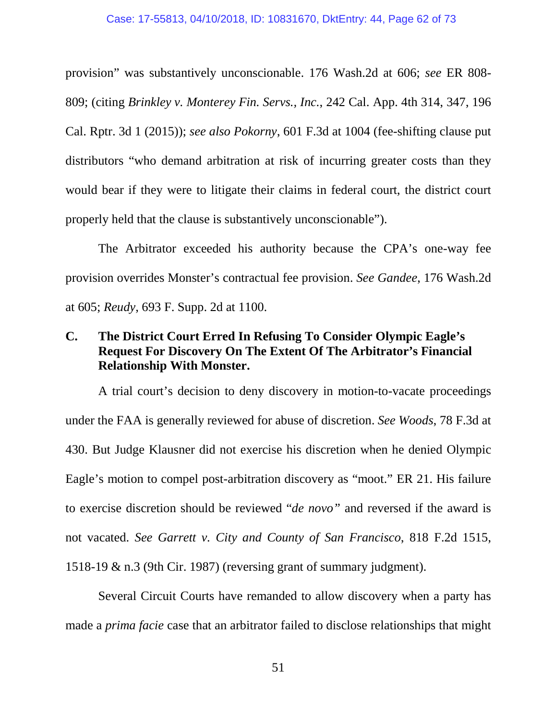provision" was substantively unconscionable. 176 Wash.2d at 606; *see* ER 808- 809; (citing *Brinkley v. Monterey Fin. Servs., Inc.*, 242 Cal. App. 4th 314, 347, 196 Cal. Rptr. 3d 1 (2015)); *see also Pokorny*, 601 F.3d at 1004 (fee-shifting clause put distributors "who demand arbitration at risk of incurring greater costs than they would bear if they were to litigate their claims in federal court, the district court properly held that the clause is substantively unconscionable").

The Arbitrator exceeded his authority because the CPA's one-way fee provision overrides Monster's contractual fee provision. *See Gandee*, 176 Wash.2d at 605; *Reudy*, 693 F. Supp. 2d at 1100.

### **C. The District Court Erred In Refusing To Consider Olympic Eagle's Request For Discovery On The Extent Of The Arbitrator's Financial Relationship With Monster.**

A trial court's decision to deny discovery in motion-to-vacate proceedings under the FAA is generally reviewed for abuse of discretion. *See Woods*, 78 F.3d at 430. But Judge Klausner did not exercise his discretion when he denied Olympic Eagle's motion to compel post-arbitration discovery as "moot." ER 21. His failure to exercise discretion should be reviewed "*de novo"* and reversed if the award is not vacated. *See Garrett v. City and County of San Francisco*, 818 F.2d 1515, 1518-19 & n.3 (9th Cir. 1987) (reversing grant of summary judgment).

Several Circuit Courts have remanded to allow discovery when a party has made a *prima facie* case that an arbitrator failed to disclose relationships that might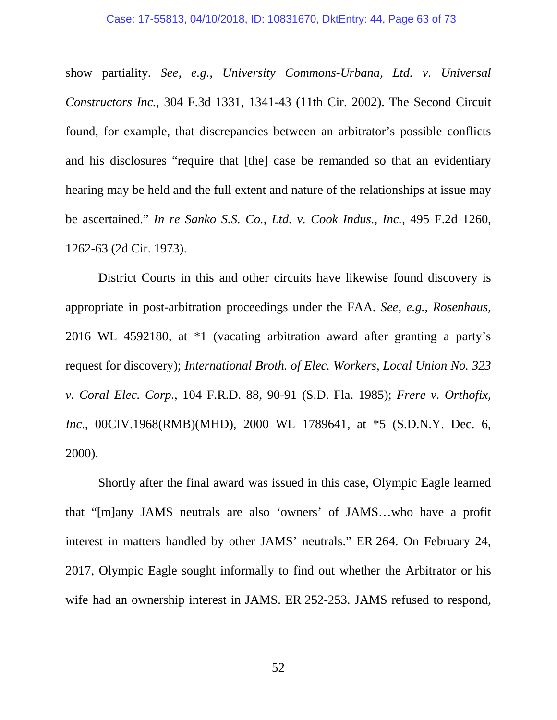show partiality. *See, e.g.*, *University Commons-Urbana, Ltd. v. Universal Constructors Inc.*, 304 F.3d 1331, 1341-43 (11th Cir. 2002). The Second Circuit found, for example, that discrepancies between an arbitrator's possible conflicts and his disclosures "require that [the] case be remanded so that an evidentiary hearing may be held and the full extent and nature of the relationships at issue may be ascertained." *In re Sanko S.S. Co., Ltd. v. Cook Indus., Inc.*, 495 F.2d 1260, 1262-63 (2d Cir. 1973).

District Courts in this and other circuits have likewise found discovery is appropriate in post-arbitration proceedings under the FAA. *See, e.g.*, *Rosenhaus*, 2016 WL 4592180, at \*1 (vacating arbitration award after granting a party's request for discovery); *International Broth. of Elec. Workers, Local Union No. 323 v. Coral Elec. Corp.*, 104 F.R.D. 88, 90-91 (S.D. Fla. 1985); *Frere v. Orthofix, Inc*., 00CIV.1968(RMB)(MHD), 2000 WL 1789641, at \*5 (S.D.N.Y. Dec. 6, 2000).

Shortly after the final award was issued in this case, Olympic Eagle learned that "[m]any JAMS neutrals are also 'owners' of JAMS…who have a profit interest in matters handled by other JAMS' neutrals." ER 264. On February 24, 2017, Olympic Eagle sought informally to find out whether the Arbitrator or his wife had an ownership interest in JAMS. ER 252-253. JAMS refused to respond,

52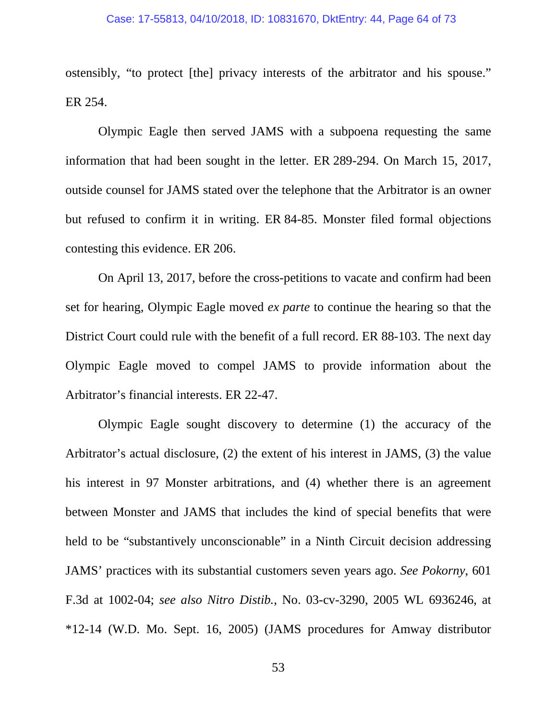ostensibly, "to protect [the] privacy interests of the arbitrator and his spouse." ER 254.

Olympic Eagle then served JAMS with a subpoena requesting the same information that had been sought in the letter. ER 289-294. On March 15, 2017, outside counsel for JAMS stated over the telephone that the Arbitrator is an owner but refused to confirm it in writing. ER 84-85. Monster filed formal objections contesting this evidence. ER 206.

On April 13, 2017, before the cross-petitions to vacate and confirm had been set for hearing, Olympic Eagle moved *ex parte* to continue the hearing so that the District Court could rule with the benefit of a full record. ER 88-103. The next day Olympic Eagle moved to compel JAMS to provide information about the Arbitrator's financial interests. ER 22-47.

Olympic Eagle sought discovery to determine (1) the accuracy of the Arbitrator's actual disclosure, (2) the extent of his interest in JAMS, (3) the value his interest in 97 Monster arbitrations, and (4) whether there is an agreement between Monster and JAMS that includes the kind of special benefits that were held to be "substantively unconscionable" in a Ninth Circuit decision addressing JAMS' practices with its substantial customers seven years ago. *See Pokorny*, 601 F.3d at 1002-04; *see also Nitro Distib.*, No. 03-cv-3290, 2005 WL 6936246, at \*12-14 (W.D. Mo. Sept. 16, 2005) (JAMS procedures for Amway distributor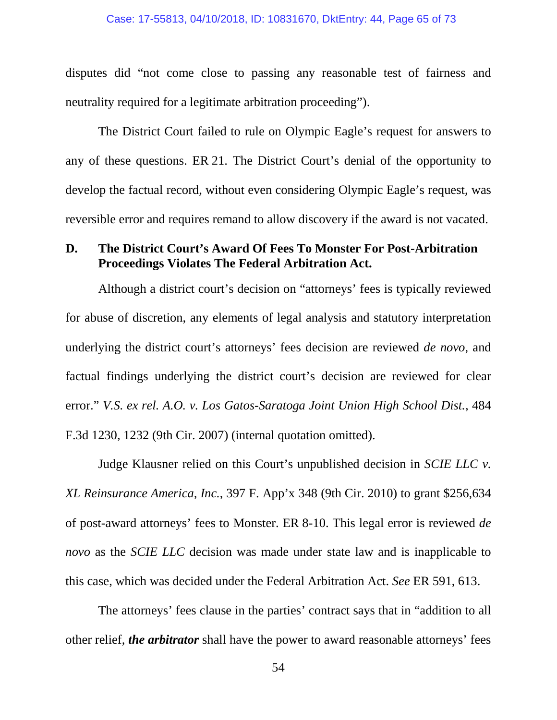disputes did "not come close to passing any reasonable test of fairness and neutrality required for a legitimate arbitration proceeding").

The District Court failed to rule on Olympic Eagle's request for answers to any of these questions. ER 21. The District Court's denial of the opportunity to develop the factual record, without even considering Olympic Eagle's request, was reversible error and requires remand to allow discovery if the award is not vacated.

### **D. The District Court's Award Of Fees To Monster For Post-Arbitration Proceedings Violates The Federal Arbitration Act.**

Although a district court's decision on "attorneys' fees is typically reviewed for abuse of discretion, any elements of legal analysis and statutory interpretation underlying the district court's attorneys' fees decision are reviewed *de novo*, and factual findings underlying the district court's decision are reviewed for clear error." *V.S. ex rel. A.O. v. Los Gatos-Saratoga Joint Union High School Dist.*, 484 F.3d 1230, 1232 (9th Cir. 2007) (internal quotation omitted).

Judge Klausner relied on this Court's unpublished decision in *SCIE LLC v. XL Reinsurance America, Inc.*, 397 F. App'x 348 (9th Cir. 2010) to grant \$256,634 of post-award attorneys' fees to Monster. ER 8-10. This legal error is reviewed *de novo* as the *SCIE LLC* decision was made under state law and is inapplicable to this case, which was decided under the Federal Arbitration Act. *See* ER 591, 613.

The attorneys' fees clause in the parties' contract says that in "addition to all other relief, *the arbitrator* shall have the power to award reasonable attorneys' fees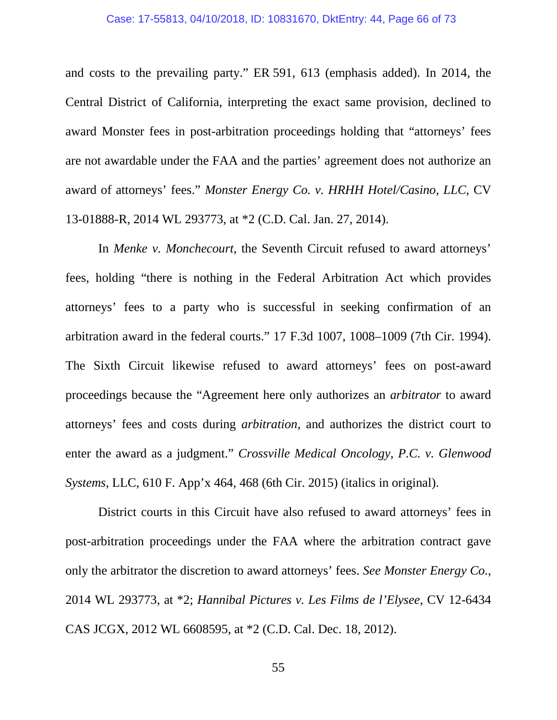and costs to the prevailing party." ER 591, 613 (emphasis added). In 2014, the Central District of California, interpreting the exact same provision, declined to award Monster fees in post-arbitration proceedings holding that "attorneys' fees are not awardable under the FAA and the parties' agreement does not authorize an award of attorneys' fees." *Monster Energy Co. v. HRHH Hotel/Casino, LLC*, CV 13-01888-R, 2014 WL 293773, at \*2 (C.D. Cal. Jan. 27, 2014).

In *Menke v. Monchecourt*, the Seventh Circuit refused to award attorneys' fees, holding "there is nothing in the Federal Arbitration Act which provides attorneys' fees to a party who is successful in seeking confirmation of an arbitration award in the federal courts." 17 F.3d 1007, 1008–1009 (7th Cir. 1994). The Sixth Circuit likewise refused to award attorneys' fees on post-award proceedings because the "Agreement here only authorizes an *arbitrator* to award attorneys' fees and costs during *arbitration*, and authorizes the district court to enter the award as a judgment." *Crossville Medical Oncology, P.C. v. Glenwood Systems*, LLC, 610 F. App'x 464, 468 (6th Cir. 2015) (italics in original).

District courts in this Circuit have also refused to award attorneys' fees in post-arbitration proceedings under the FAA where the arbitration contract gave only the arbitrator the discretion to award attorneys' fees. *See Monster Energy Co.*, 2014 WL 293773, at \*2; *Hannibal Pictures v. Les Films de l'Elysee*, CV 12-6434 CAS JCGX, 2012 WL 6608595, at \*2 (C.D. Cal. Dec. 18, 2012).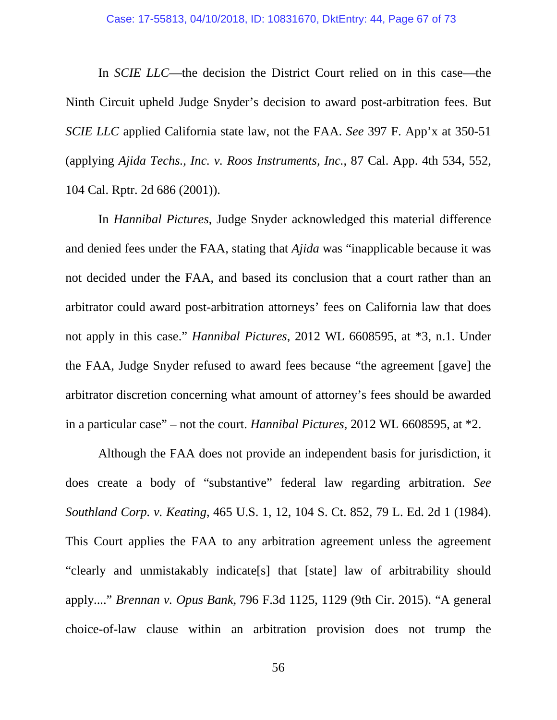In *SCIE LLC*—the decision the District Court relied on in this case—the Ninth Circuit upheld Judge Snyder's decision to award post-arbitration fees. But *SCIE LLC* applied California state law, not the FAA. *See* 397 F. App'x at 350-51 (applying *Ajida Techs., Inc. v. Roos Instruments, Inc.*, 87 Cal. App. 4th 534, 552, 104 Cal. Rptr. 2d 686 (2001)).

In *Hannibal Pictures*, Judge Snyder acknowledged this material difference and denied fees under the FAA, stating that *Ajida* was "inapplicable because it was not decided under the FAA, and based its conclusion that a court rather than an arbitrator could award post-arbitration attorneys' fees on California law that does not apply in this case." *Hannibal Pictures*, 2012 WL 6608595, at \*3, n.1. Under the FAA, Judge Snyder refused to award fees because "the agreement [gave] the arbitrator discretion concerning what amount of attorney's fees should be awarded in a particular case" – not the court. *Hannibal Pictures*, 2012 WL 6608595, at \*2.

Although the FAA does not provide an independent basis for jurisdiction, it does create a body of "substantive" federal law regarding arbitration. *See Southland Corp. v. Keating*, 465 U.S. 1, 12, 104 S. Ct. 852, 79 L. Ed. 2d 1 (1984). This Court applies the FAA to any arbitration agreement unless the agreement "clearly and unmistakably indicate[s] that [state] law of arbitrability should apply...." *Brennan v. Opus Bank*, 796 F.3d 1125, 1129 (9th Cir. 2015). "A general choice-of-law clause within an arbitration provision does not trump the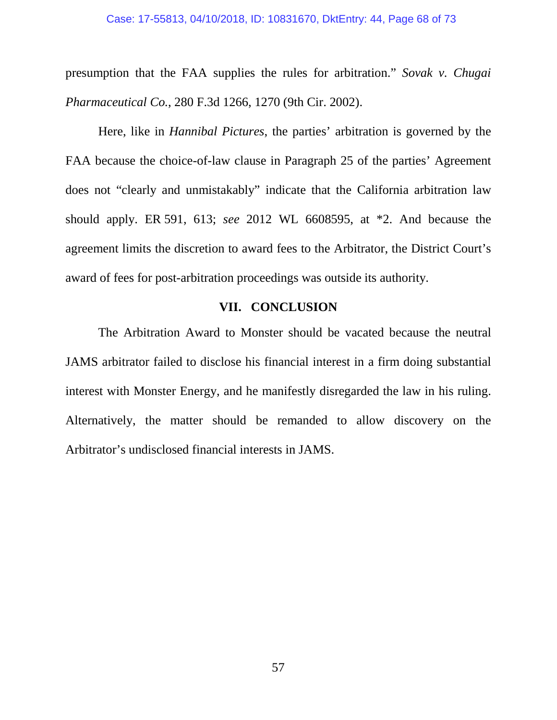presumption that the FAA supplies the rules for arbitration." *Sovak v. Chugai Pharmaceutical Co.*, 280 F.3d 1266, 1270 (9th Cir. 2002).

Here, like in *Hannibal Pictures*, the parties' arbitration is governed by the FAA because the choice-of-law clause in Paragraph 25 of the parties' Agreement does not "clearly and unmistakably" indicate that the California arbitration law should apply. ER 591, 613; *see* 2012 WL 6608595, at \*2. And because the agreement limits the discretion to award fees to the Arbitrator, the District Court's award of fees for post-arbitration proceedings was outside its authority.

### **VII. CONCLUSION**

The Arbitration Award to Monster should be vacated because the neutral JAMS arbitrator failed to disclose his financial interest in a firm doing substantial interest with Monster Energy, and he manifestly disregarded the law in his ruling. Alternatively, the matter should be remanded to allow discovery on the Arbitrator's undisclosed financial interests in JAMS.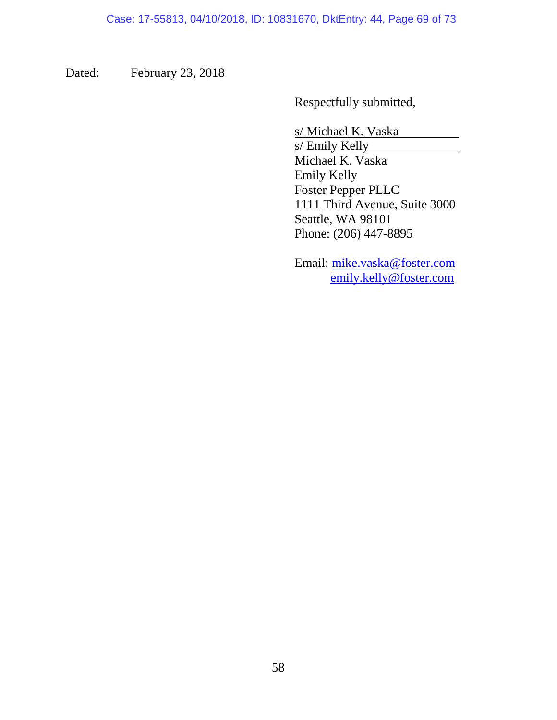Dated: February 23, 2018

Respectfully submitted,

s/ Michael K. Vaska

s/ Emily Kelly Michael K. Vaska Emily Kelly Foster Pepper PLLC 1111 Third Avenue, Suite 3000 Seattle, WA 98101 Phone: (206) 447-8895

Email: mike.vaska@foster.com emily.kelly@foster.com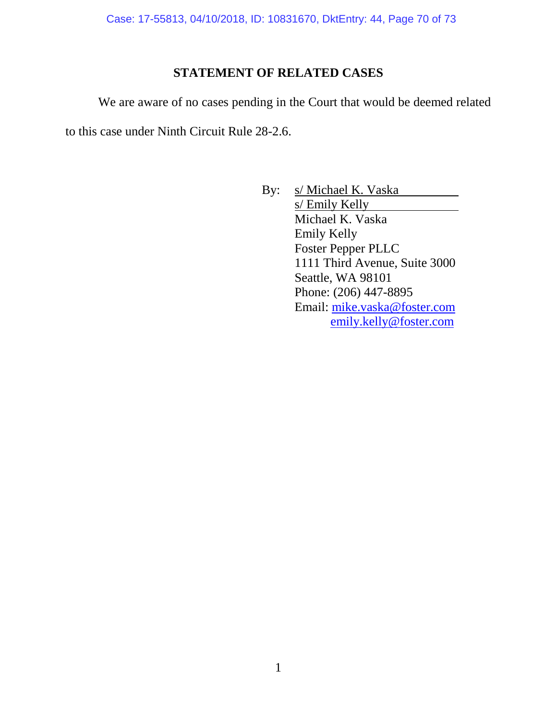Case: 17-55813, 04/10/2018, ID: 10831670, DktEntry: 44, Page 70 of 73

### **STATEMENT OF RELATED CASES**

We are aware of no cases pending in the Court that would be deemed related

to this case under Ninth Circuit Rule 28-2.6.

By: s/Michael K. Vaska s/ Emily Kelly Michael K. Vaska Emily Kelly Foster Pepper PLLC 1111 Third Avenue, Suite 3000 Seattle, WA 98101 Phone: (206) 447-8895 Email: mike.vaska@foster.com emily.kelly@foster.com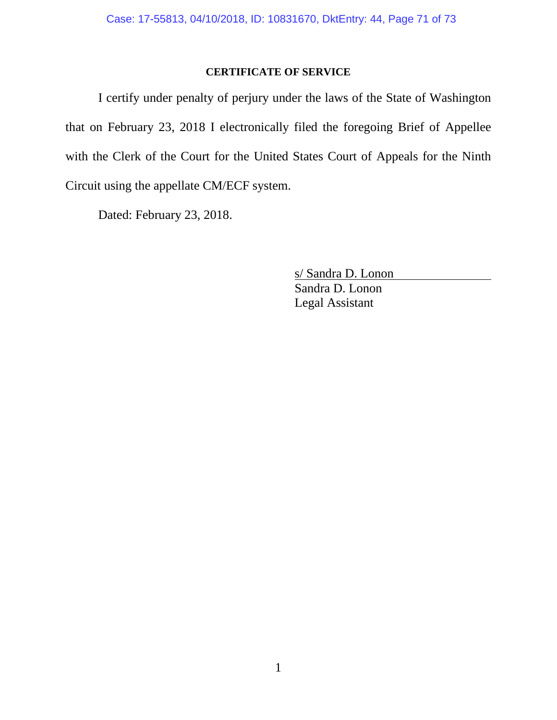#### **CERTIFICATE OF SERVICE**

I certify under penalty of perjury under the laws of the State of Washington that on February 23, 2018 I electronically filed the foregoing Brief of Appellee with the Clerk of the Court for the United States Court of Appeals for the Ninth Circuit using the appellate CM/ECF system.

Dated: February 23, 2018.

s/ Sandra D. Lonon Sandra D. Lonon Legal Assistant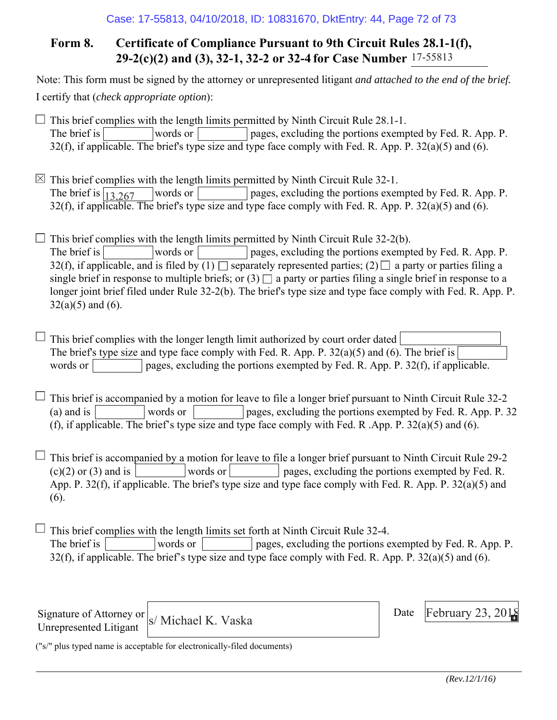# **Form 8. Certificate of Compliance Pursuant to 9th Circuit Rules 28.1-1(f), 29-2(c)(2) and (3), 32-1, 32-2 or 32-4 for Case Number** 17-55813

Note: This form must be signed by the attorney or unrepresented litigant *and attached to the end of the brief.* I certify that (*check appropriate option*):

 $\Box$  This brief complies with the length limits permitted by Ninth Circuit Rule 28.1-1. The brief is words or pages, excluding the portions exempted by Fed. R. App. P. 32(f), if applicable. The brief's type size and type face comply with Fed. R. App. P.  $32(a)(5)$  and (6).

 $\boxtimes$  This brief complies with the length limits permitted by Ninth Circuit Rule 32-1. words or pages, excluding the portions exempted by Fed. R. App. P.  $32(f)$ , if applicable. The brief's type size and type face comply with Fed. R. App. P.  $32(a)(5)$  and (6). The brief is  $\sqrt{13,267}$ 

 $\Box$  This brief complies with the length limits permitted by Ninth Circuit Rule 32-2(b). The brief is words or pages, excluding the portions exempted by Fed. R. App. P. 32(f), if applicable, and is filed by  $(1)$  separately represented parties;  $(2)$  a party or parties filing a single brief in response to multiple briefs; or  $(3)$  a party or parties filing a single brief in response to a longer joint brief filed under Rule 32-2(b). The brief's type size and type face comply with Fed. R. App. P.  $32(a)(5)$  and  $(6)$ .

 $\Box$  This brief complies with the longer length limit authorized by court order dated The brief's type size and type face comply with Fed. R. App. P. 32(a)(5) and (6). The brief is words or  $\Box$  pages, excluding the portions exempted by Fed. R. App. P. 32(f), if applicable.

 $\Box$  This brief is accompanied by a motion for leave to file a longer brief pursuant to Ninth Circuit Rule 32-2 (a) and is words or pages, excluding the portions exempted by Fed. R. App. P. 32 (f), if applicable. The brief's type size and type face comply with Fed. R .App. P. 32(a)(5) and (6).

 $\Box$  This brief is accompanied by a motion for leave to file a longer brief pursuant to Ninth Circuit Rule 29-2  $(c)(2)$  or (3) and is words or words or pages, excluding the portions exempted by Fed. R. App. P. 32(f), if applicable. The brief's type size and type face comply with Fed. R. App. P. 32(a)(5) and (6).

 $\Box$  This brief complies with the length limits set forth at Ninth Circuit Rule 32-4. The brief is words or pages, excluding the portions exempted by Fed. R. App. P. 32(f), if applicable. The brief's type size and type face comply with Fed. R. App. P. 32(a)(5) and (6).

Signature of Attorney or Unrepresented Litigant

Date s/ Michael K. Vaska February 23, 2018

("s/" plus typed name is acceptable for electronically-filed documents)